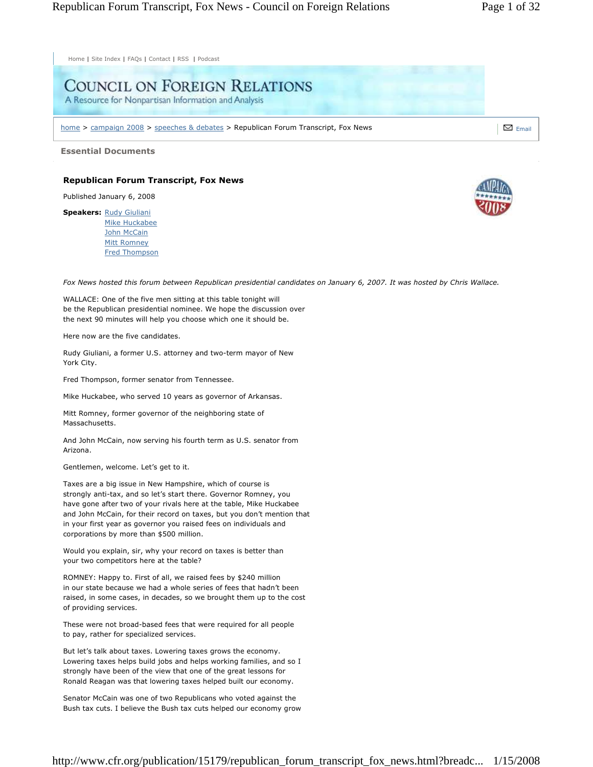Home | Site Index | FAQs | Contact | RSS | Podcast

# COUNCIL ON FOREIGN RELATIONS

A Resource for Nonpartisan Information and Analysis

home > campaign 2008 > speeches & debates > Republican Forum Transcript, Fox News  $\Box$  Email

Essential Documents

# Republican Forum Transcript, Fox News

Published January 6, 2008

Speakers: Rudy Giuliani Mike Huckabee John McCain Mitt Romney Fred Thompson



Fox News hosted this forum between Republican presidential candidates on January 6, 2007. It was hosted by Chris Wallace.

WALLACE: One of the five men sitting at this table tonight will be the Republican presidential nominee. We hope the discussion over the next 90 minutes will help you choose which one it should be.

Here now are the five candidates.

Rudy Giuliani, a former U.S. attorney and two-term mayor of New York City.

Fred Thompson, former senator from Tennessee.

Mike Huckabee, who served 10 years as governor of Arkansas.

Mitt Romney, former governor of the neighboring state of Massachusetts.

And John McCain, now serving his fourth term as U.S. senator from Arizona.

Gentlemen, welcome. Let's get to it.

Taxes are a big issue in New Hampshire, which of course is strongly anti-tax, and so let's start there. Governor Romney, you have gone after two of your rivals here at the table, Mike Huckabee and John McCain, for their record on taxes, but you don't mention that in your first year as governor you raised fees on individuals and corporations by more than \$500 million.

Would you explain, sir, why your record on taxes is better than your two competitors here at the table?

ROMNEY: Happy to. First of all, we raised fees by \$240 million in our state because we had a whole series of fees that hadn't been raised, in some cases, in decades, so we brought them up to the cost of providing services.

These were not broad-based fees that were required for all people to pay, rather for specialized services.

But let's talk about taxes. Lowering taxes grows the economy. Lowering taxes helps build jobs and helps working families, and so I strongly have been of the view that one of the great lessons for Ronald Reagan was that lowering taxes helped built our economy.

Senator McCain was one of two Republicans who voted against the Bush tax cuts. I believe the Bush tax cuts helped our economy grow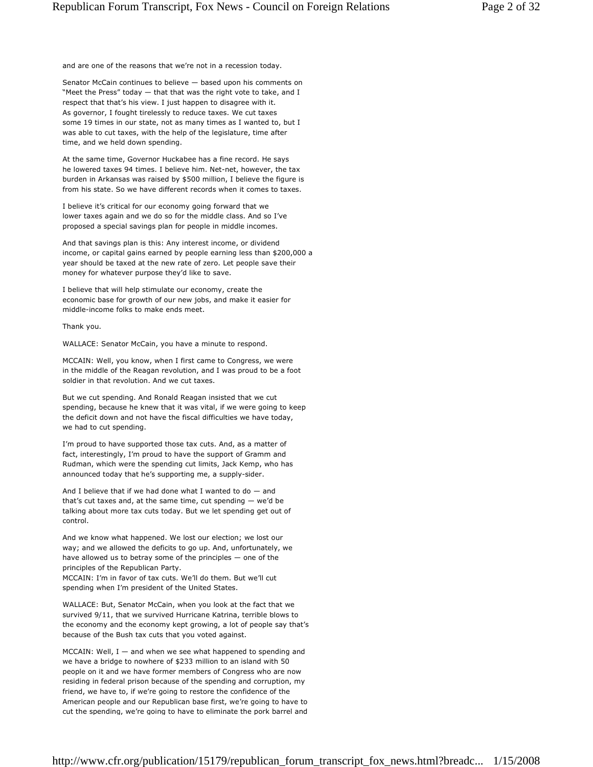and are one of the reasons that we're not in a recession today.

Senator McCain continues to believe — based upon his comments on "Meet the Press" today — that that was the right vote to take, and I respect that that's his view. I just happen to disagree with it. As governor, I fought tirelessly to reduce taxes. We cut taxes some 19 times in our state, not as many times as I wanted to, but I was able to cut taxes, with the help of the legislature, time after time, and we held down spending.

At the same time, Governor Huckabee has a fine record. He says he lowered taxes 94 times. I believe him. Net-net, however, the tax burden in Arkansas was raised by \$500 million, I believe the figure is from his state. So we have different records when it comes to taxes.

I believe it's critical for our economy going forward that we lower taxes again and we do so for the middle class. And so I've proposed a special savings plan for people in middle incomes.

And that savings plan is this: Any interest income, or dividend income, or capital gains earned by people earning less than \$200,000 a year should be taxed at the new rate of zero. Let people save their money for whatever purpose they'd like to save.

I believe that will help stimulate our economy, create the economic base for growth of our new jobs, and make it easier for middle-income folks to make ends meet.

Thank you.

WALLACE: Senator McCain, you have a minute to respond.

MCCAIN: Well, you know, when I first came to Congress, we were in the middle of the Reagan revolution, and I was proud to be a foot soldier in that revolution. And we cut taxes.

But we cut spending. And Ronald Reagan insisted that we cut spending, because he knew that it was vital, if we were going to keep the deficit down and not have the fiscal difficulties we have today, we had to cut spending.

I'm proud to have supported those tax cuts. And, as a matter of fact, interestingly, I'm proud to have the support of Gramm and Rudman, which were the spending cut limits, Jack Kemp, who has announced today that he's supporting me, a supply-sider.

And I believe that if we had done what I wanted to do — and that's cut taxes and, at the same time, cut spending — we'd be talking about more tax cuts today. But we let spending get out of control.

And we know what happened. We lost our election; we lost our way; and we allowed the deficits to go up. And, unfortunately, we have allowed us to betray some of the principles — one of the principles of the Republican Party.

MCCAIN: I'm in favor of tax cuts. We'll do them. But we'll cut spending when I'm president of the United States.

WALLACE: But, Senator McCain, when you look at the fact that we survived 9/11, that we survived Hurricane Katrina, terrible blows to the economy and the economy kept growing, a lot of people say that's because of the Bush tax cuts that you voted against.

MCCAIN: Well,  $I -$  and when we see what happened to spending and we have a bridge to nowhere of \$233 million to an island with 50 people on it and we have former members of Congress who are now residing in federal prison because of the spending and corruption, my friend, we have to, if we're going to restore the confidence of the American people and our Republican base first, we're going to have to cut the spending, we're going to have to eliminate the pork barrel and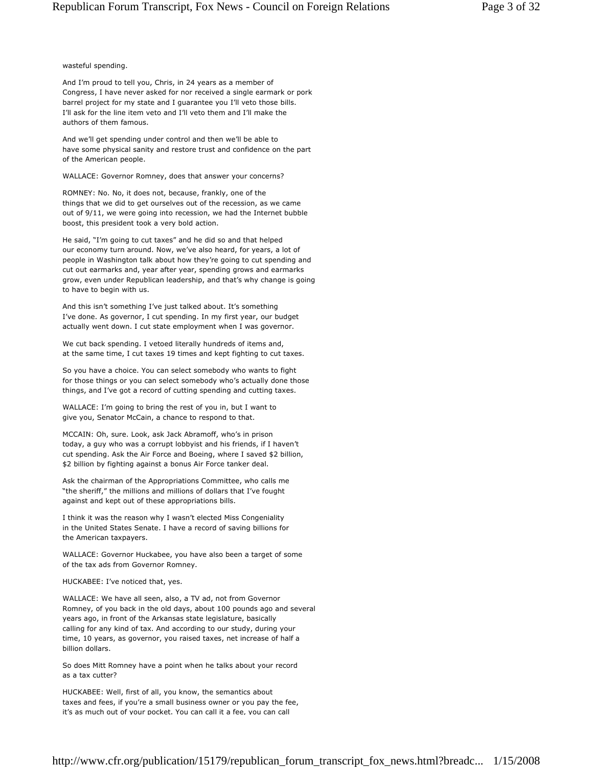wasteful spending.

And I'm proud to tell you, Chris, in 24 years as a member of Congress, I have never asked for nor received a single earmark or pork barrel project for my state and I guarantee you I'll veto those bills. I'll ask for the line item veto and I'll veto them and I'll make the authors of them famous.

And we'll get spending under control and then we'll be able to have some physical sanity and restore trust and confidence on the part of the American people.

WALLACE: Governor Romney, does that answer your concerns?

ROMNEY: No. No, it does not, because, frankly, one of the things that we did to get ourselves out of the recession, as we came out of 9/11, we were going into recession, we had the Internet bubble boost, this president took a very bold action.

He said, "I'm going to cut taxes" and he did so and that helped our economy turn around. Now, we've also heard, for years, a lot of people in Washington talk about how they're going to cut spending and cut out earmarks and, year after year, spending grows and earmarks grow, even under Republican leadership, and that's why change is going to have to begin with us.

And this isn't something I've just talked about. It's something I've done. As governor, I cut spending. In my first year, our budget actually went down. I cut state employment when I was governor.

We cut back spending. I vetoed literally hundreds of items and, at the same time, I cut taxes 19 times and kept fighting to cut taxes.

So you have a choice. You can select somebody who wants to fight for those things or you can select somebody who's actually done those things, and I've got a record of cutting spending and cutting taxes.

WALLACE: I'm going to bring the rest of you in, but I want to give you, Senator McCain, a chance to respond to that.

MCCAIN: Oh, sure. Look, ask Jack Abramoff, who's in prison today, a guy who was a corrupt lobbyist and his friends, if I haven't cut spending. Ask the Air Force and Boeing, where I saved \$2 billion, \$2 billion by fighting against a bonus Air Force tanker deal.

Ask the chairman of the Appropriations Committee, who calls me "the sheriff," the millions and millions of dollars that I've fought against and kept out of these appropriations bills.

I think it was the reason why I wasn't elected Miss Congeniality in the United States Senate. I have a record of saving billions for the American taxpayers.

WALLACE: Governor Huckabee, you have also been a target of some of the tax ads from Governor Romney.

HUCKABEE: I've noticed that, yes.

WALLACE: We have all seen, also, a TV ad, not from Governor Romney, of you back in the old days, about 100 pounds ago and several years ago, in front of the Arkansas state legislature, basically calling for any kind of tax. And according to our study, during your time, 10 years, as governor, you raised taxes, net increase of half a billion dollars.

So does Mitt Romney have a point when he talks about your record as a tax cutter?

HUCKABEE: Well, first of all, you know, the semantics about taxes and fees, if you're a small business owner or you pay the fee, it's as much out of your pocket. You can call it a fee, you can call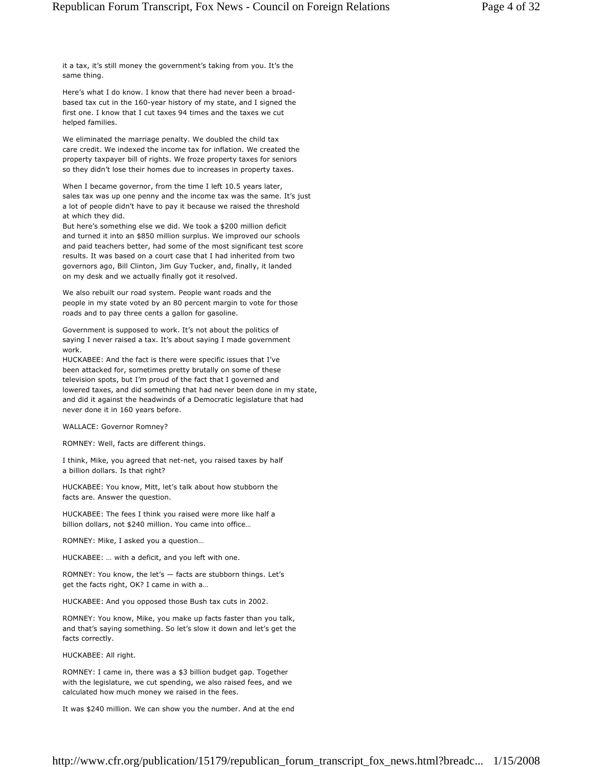it a tax, it's still money the government's taking from you. It's the same thing.

Here's what I do know. I know that there had never been a broadbased tax cut in the 160-year history of my state, and I signed the first one. I know that I cut taxes 94 times and the taxes we cut helped families.

We eliminated the marriage penalty. We doubled the child tax care credit. We indexed the income tax for inflation. We created the property taxpayer bill of rights. We froze property taxes for seniors so they didn't lose their homes due to increases in property taxes.

When I became governor, from the time I left 10.5 years later, sales tax was up one penny and the income tax was the same. It's just a lot of people didn't have to pay it because we raised the threshold at which they did.

But here's something else we did. We took a \$200 million deficit and turned it into an \$850 million surplus. We improved our schools and paid teachers better, had some of the most significant test score results. It was based on a court case that I had inherited from two governors ago, Bill Clinton, Jim Guy Tucker, and, finally, it landed on my desk and we actually finally got it resolved.

We also rebuilt our road system. People want roads and the people in my state voted by an 80 percent margin to vote for those roads and to pay three cents a gallon for gasoline.

Government is supposed to work. It's not about the politics of saying I never raised a tax. It's about saying I made government work.

HUCKABEE: And the fact is there were specific issues that I've been attacked for, sometimes pretty brutally on some of these television spots, but I'm proud of the fact that I governed and lowered taxes, and did something that had never been done in my state, and did it against the headwinds of a Democratic legislature that had never done it in 160 years before.

WALLACE: Governor Romney?

ROMNEY: Well, facts are different things.

I think, Mike, you agreed that net-net, you raised taxes by half a billion dollars. Is that right?

HUCKABEE: You know, Mitt, let's talk about how stubborn the facts are. Answer the question.

HUCKABEE: The fees I think you raised were more like half a billion dollars, not \$240 million. You came into office…

ROMNEY: Mike, I asked you a question…

HUCKABEE: … with a deficit, and you left with one.

ROMNEY: You know, the let's — facts are stubborn things. Let's get the facts right, OK? I came in with a…

HUCKABEE: And you opposed those Bush tax cuts in 2002.

ROMNEY: You know, Mike, you make up facts faster than you talk, and that's saying something. So let's slow it down and let's get the facts correctly.

HUCKABEE: All right.

ROMNEY: I came in, there was a \$3 billion budget gap. Together with the legislature, we cut spending, we also raised fees, and we calculated how much money we raised in the fees.

It was \$240 million. We can show you the number. And at the end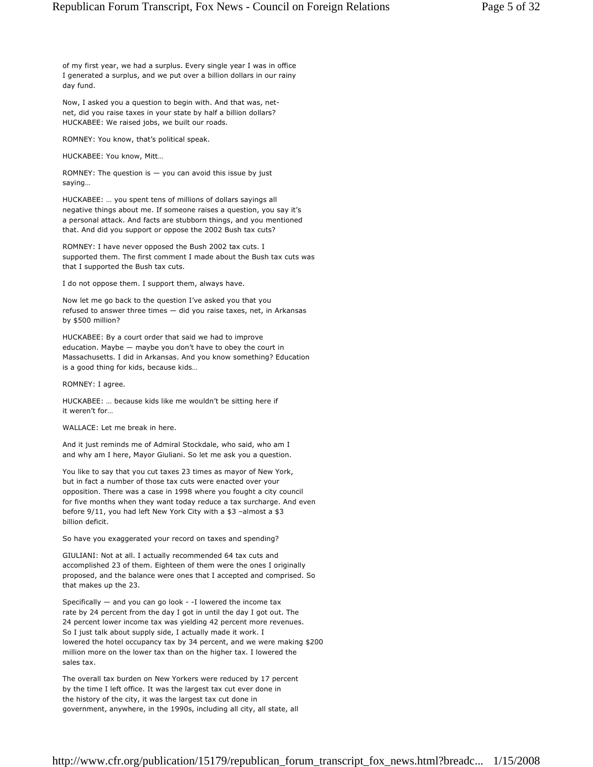of my first year, we had a surplus. Every single year I was in office I generated a surplus, and we put over a billion dollars in our rainy day fund.

Now, I asked you a question to begin with. And that was, netnet, did you raise taxes in your state by half a billion dollars? HUCKABEE: We raised jobs, we built our roads.

ROMNEY: You know, that's political speak.

HUCKABEE: You know, Mitt…

ROMNEY: The question is  $-$  you can avoid this issue by just saying…

HUCKABEE: … you spent tens of millions of dollars sayings all negative things about me. If someone raises a question, you say it's a personal attack. And facts are stubborn things, and you mentioned that. And did you support or oppose the 2002 Bush tax cuts?

ROMNEY: I have never opposed the Bush 2002 tax cuts. I supported them. The first comment I made about the Bush tax cuts was that I supported the Bush tax cuts.

I do not oppose them. I support them, always have.

Now let me go back to the question I've asked you that you refused to answer three times — did you raise taxes, net, in Arkansas by \$500 million?

HUCKABEE: By a court order that said we had to improve education. Maybe — maybe you don't have to obey the court in Massachusetts. I did in Arkansas. And you know something? Education is a good thing for kids, because kids…

ROMNEY: I agree.

HUCKABEE: … because kids like me wouldn't be sitting here if it weren't for…

WALLACE: Let me break in here.

And it just reminds me of Admiral Stockdale, who said, who am I and why am I here, Mayor Giuliani. So let me ask you a question.

You like to say that you cut taxes 23 times as mayor of New York, but in fact a number of those tax cuts were enacted over your opposition. There was a case in 1998 where you fought a city council for five months when they want today reduce a tax surcharge. And even before 9/11, you had left New York City with a \$3 –almost a \$3 billion deficit.

So have you exaggerated your record on taxes and spending?

GIULIANI: Not at all. I actually recommended 64 tax cuts and accomplished 23 of them. Eighteen of them were the ones I originally proposed, and the balance were ones that I accepted and comprised. So that makes up the 23.

Specifically — and you can go look - -I lowered the income tax rate by 24 percent from the day I got in until the day I got out. The 24 percent lower income tax was yielding 42 percent more revenues. So I just talk about supply side, I actually made it work. I lowered the hotel occupancy tax by 34 percent, and we were making \$200 million more on the lower tax than on the higher tax. I lowered the sales tax.

The overall tax burden on New Yorkers were reduced by 17 percent by the time I left office. It was the largest tax cut ever done in the history of the city, it was the largest tax cut done in government, anywhere, in the 1990s, including all city, all state, all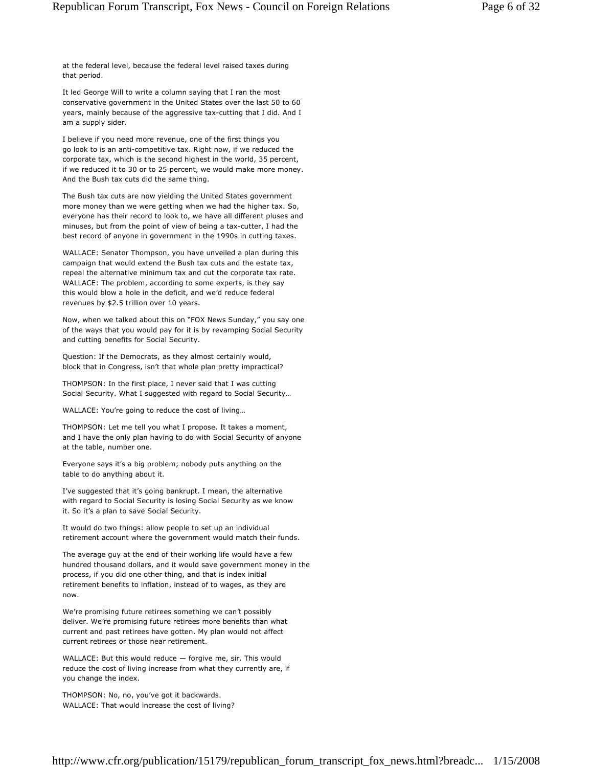at the federal level, because the federal level raised taxes during that period.

It led George Will to write a column saying that I ran the most conservative government in the United States over the last 50 to 60 years, mainly because of the aggressive tax-cutting that I did. And I am a supply sider.

I believe if you need more revenue, one of the first things you go look to is an anti-competitive tax. Right now, if we reduced the corporate tax, which is the second highest in the world, 35 percent, if we reduced it to 30 or to 25 percent, we would make more money. And the Bush tax cuts did the same thing.

The Bush tax cuts are now yielding the United States government more money than we were getting when we had the higher tax. So, everyone has their record to look to, we have all different pluses and minuses, but from the point of view of being a tax-cutter, I had the best record of anyone in government in the 1990s in cutting taxes.

WALLACE: Senator Thompson, you have unveiled a plan during this campaign that would extend the Bush tax cuts and the estate tax, repeal the alternative minimum tax and cut the corporate tax rate. WALLACE: The problem, according to some experts, is they say this would blow a hole in the deficit, and we'd reduce federal revenues by \$2.5 trillion over 10 years.

Now, when we talked about this on "FOX News Sunday," you say one of the ways that you would pay for it is by revamping Social Security and cutting benefits for Social Security.

Question: If the Democrats, as they almost certainly would, block that in Congress, isn't that whole plan pretty impractical?

THOMPSON: In the first place, I never said that I was cutting Social Security. What I suggested with regard to Social Security…

WALLACE: You're going to reduce the cost of living…

THOMPSON: Let me tell you what I propose. It takes a moment, and I have the only plan having to do with Social Security of anyone at the table, number one.

Everyone says it's a big problem; nobody puts anything on the table to do anything about it.

I've suggested that it's going bankrupt. I mean, the alternative with regard to Social Security is losing Social Security as we know it. So it's a plan to save Social Security.

It would do two things: allow people to set up an individual retirement account where the government would match their funds.

The average guy at the end of their working life would have a few hundred thousand dollars, and it would save government money in the process, if you did one other thing, and that is index initial retirement benefits to inflation, instead of to wages, as they are now.

We're promising future retirees something we can't possibly deliver. We're promising future retirees more benefits than what current and past retirees have gotten. My plan would not affect current retirees or those near retirement.

WALLACE: But this would reduce — forgive me, sir. This would reduce the cost of living increase from what they currently are, if you change the index.

THOMPSON: No, no, you've got it backwards. WALLACE: That would increase the cost of living?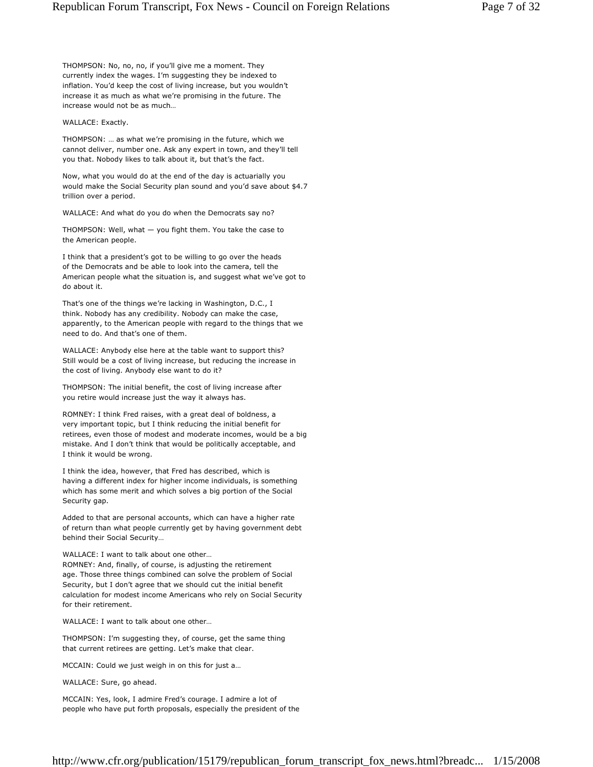THOMPSON: No, no, no, if you'll give me a moment. They currently index the wages. I'm suggesting they be indexed to inflation. You'd keep the cost of living increase, but you wouldn't increase it as much as what we're promising in the future. The increase would not be as much…

#### WALLACE: Exactly.

THOMPSON: … as what we're promising in the future, which we cannot deliver, number one. Ask any expert in town, and they'll tell you that. Nobody likes to talk about it, but that's the fact.

Now, what you would do at the end of the day is actuarially you would make the Social Security plan sound and you'd save about \$4.7 trillion over a period.

WALLACE: And what do you do when the Democrats say no?

THOMPSON: Well, what — you fight them. You take the case to the American people.

I think that a president's got to be willing to go over the heads of the Democrats and be able to look into the camera, tell the American people what the situation is, and suggest what we've got to do about it.

That's one of the things we're lacking in Washington, D.C., I think. Nobody has any credibility. Nobody can make the case, apparently, to the American people with regard to the things that we need to do. And that's one of them.

WALLACE: Anybody else here at the table want to support this? Still would be a cost of living increase, but reducing the increase in the cost of living. Anybody else want to do it?

THOMPSON: The initial benefit, the cost of living increase after you retire would increase just the way it always has.

ROMNEY: I think Fred raises, with a great deal of boldness, a very important topic, but I think reducing the initial benefit for retirees, even those of modest and moderate incomes, would be a big mistake. And I don't think that would be politically acceptable, and I think it would be wrong.

I think the idea, however, that Fred has described, which is having a different index for higher income individuals, is something which has some merit and which solves a big portion of the Social Security gap.

Added to that are personal accounts, which can have a higher rate of return than what people currently get by having government debt behind their Social Security…

#### WALLACE: I want to talk about one other…

ROMNEY: And, finally, of course, is adjusting the retirement age. Those three things combined can solve the problem of Social Security, but I don't agree that we should cut the initial benefit calculation for modest income Americans who rely on Social Security for their retirement.

WALLACE: I want to talk about one other…

THOMPSON: I'm suggesting they, of course, get the same thing that current retirees are getting. Let's make that clear.

MCCAIN: Could we just weigh in on this for just a…

WALLACE: Sure, go ahead.

MCCAIN: Yes, look, I admire Fred's courage. I admire a lot of people who have put forth proposals, especially the president of the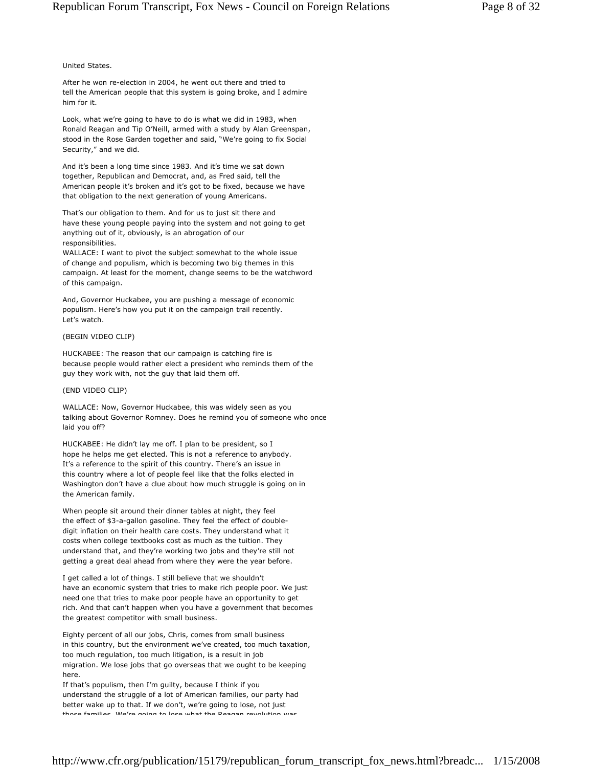## United States.

After he won re-election in 2004, he went out there and tried to tell the American people that this system is going broke, and I admire him for it.

Look, what we're going to have to do is what we did in 1983, when Ronald Reagan and Tip O'Neill, armed with a study by Alan Greenspan, stood in the Rose Garden together and said, "We're going to fix Social Security," and we did.

And it's been a long time since 1983. And it's time we sat down together, Republican and Democrat, and, as Fred said, tell the American people it's broken and it's got to be fixed, because we have that obligation to the next generation of young Americans.

That's our obligation to them. And for us to just sit there and have these young people paying into the system and not going to get anything out of it, obviously, is an abrogation of our responsibilities.

WALLACE: I want to pivot the subject somewhat to the whole issue of change and populism, which is becoming two big themes in this campaign. At least for the moment, change seems to be the watchword of this campaign.

And, Governor Huckabee, you are pushing a message of economic populism. Here's how you put it on the campaign trail recently. Let's watch.

## (BEGIN VIDEO CLIP)

HUCKABEE: The reason that our campaign is catching fire is because people would rather elect a president who reminds them of the guy they work with, not the guy that laid them off.

## (END VIDEO CLIP)

WALLACE: Now, Governor Huckabee, this was widely seen as you talking about Governor Romney. Does he remind you of someone who once laid you off?

HUCKABEE: He didn't lay me off. I plan to be president, so I hope he helps me get elected. This is not a reference to anybody. It's a reference to the spirit of this country. There's an issue in this country where a lot of people feel like that the folks elected in Washington don't have a clue about how much struggle is going on in the American family.

When people sit around their dinner tables at night, they feel the effect of \$3-a-gallon gasoline. They feel the effect of doubledigit inflation on their health care costs. They understand what it costs when college textbooks cost as much as the tuition. They understand that, and they're working two jobs and they're still not getting a great deal ahead from where they were the year before.

I get called a lot of things. I still believe that we shouldn't have an economic system that tries to make rich people poor. We just need one that tries to make poor people have an opportunity to get rich. And that can't happen when you have a government that becomes the greatest competitor with small business.

Eighty percent of all our jobs, Chris, comes from small business in this country, but the environment we've created, too much taxation, too much regulation, too much litigation, is a result in job migration. We lose jobs that go overseas that we ought to be keeping here.

If that's populism, then I'm guilty, because I think if you understand the struggle of a lot of American families, our party had better wake up to that. If we don't, we're going to lose, not just those families. We're going to lose what the Reagan revolution w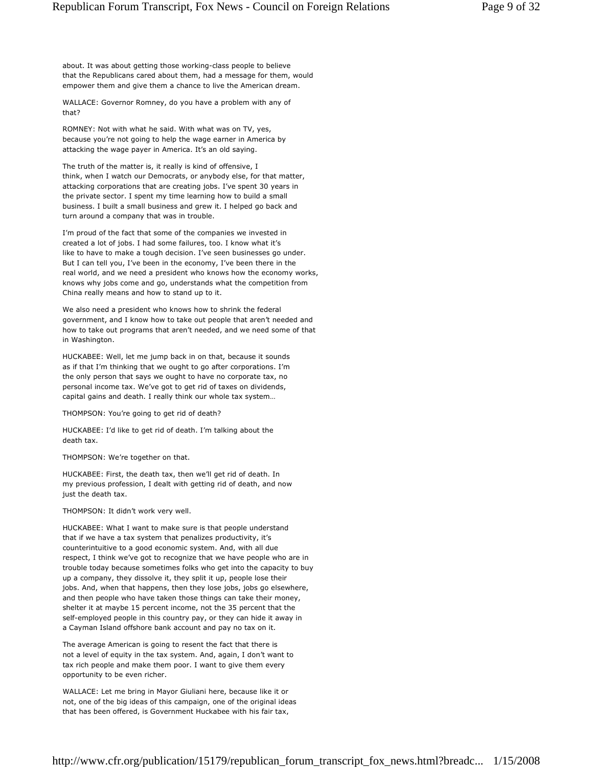about. It was about getting those working-class people to believe that the Republicans cared about them, had a message for them, would empower them and give them a chance to live the American dream.

WALLACE: Governor Romney, do you have a problem with any of that?

ROMNEY: Not with what he said. With what was on TV, yes, because you're not going to help the wage earner in America by attacking the wage payer in America. It's an old saying.

The truth of the matter is, it really is kind of offensive, I think, when I watch our Democrats, or anybody else, for that matter, attacking corporations that are creating jobs. I've spent 30 years in the private sector. I spent my time learning how to build a small business. I built a small business and grew it. I helped go back and turn around a company that was in trouble.

I'm proud of the fact that some of the companies we invested in created a lot of jobs. I had some failures, too. I know what it's like to have to make a tough decision. I've seen businesses go under. But I can tell you, I've been in the economy, I've been there in the real world, and we need a president who knows how the economy works, knows why jobs come and go, understands what the competition from China really means and how to stand up to it.

We also need a president who knows how to shrink the federal government, and I know how to take out people that aren't needed and how to take out programs that aren't needed, and we need some of that in Washington.

HUCKABEE: Well, let me jump back in on that, because it sounds as if that I'm thinking that we ought to go after corporations. I'm the only person that says we ought to have no corporate tax, no personal income tax. We've got to get rid of taxes on dividends, capital gains and death. I really think our whole tax system…

THOMPSON: You're going to get rid of death?

HUCKABEE: I'd like to get rid of death. I'm talking about the death tax.

THOMPSON: We're together on that.

HUCKABEE: First, the death tax, then we'll get rid of death. In my previous profession, I dealt with getting rid of death, and now just the death tax.

THOMPSON: It didn't work very well.

HUCKABEE: What I want to make sure is that people understand that if we have a tax system that penalizes productivity, it's counterintuitive to a good economic system. And, with all due respect, I think we've got to recognize that we have people who are in trouble today because sometimes folks who get into the capacity to buy up a company, they dissolve it, they split it up, people lose their jobs. And, when that happens, then they lose jobs, jobs go elsewhere, and then people who have taken those things can take their money, shelter it at maybe 15 percent income, not the 35 percent that the self-employed people in this country pay, or they can hide it away in a Cayman Island offshore bank account and pay no tax on it.

The average American is going to resent the fact that there is not a level of equity in the tax system. And, again, I don't want to tax rich people and make them poor. I want to give them every opportunity to be even richer.

WALLACE: Let me bring in Mayor Giuliani here, because like it or not, one of the big ideas of this campaign, one of the original ideas that has been offered, is Government Huckabee with his fair tax,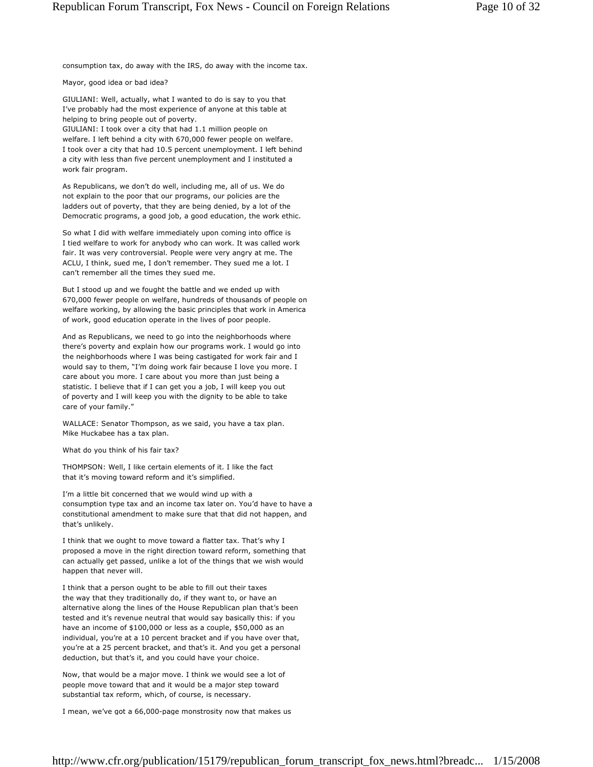consumption tax, do away with the IRS, do away with the income tax.

Mayor, good idea or bad idea?

GIULIANI: Well, actually, what I wanted to do is say to you that I've probably had the most experience of anyone at this table at helping to bring people out of poverty.

GIULIANI: I took over a city that had 1.1 million people on welfare. I left behind a city with 670,000 fewer people on welfare. I took over a city that had 10.5 percent unemployment. I left behind a city with less than five percent unemployment and I instituted a work fair program.

As Republicans, we don't do well, including me, all of us. We do not explain to the poor that our programs, our policies are the ladders out of poverty, that they are being denied, by a lot of the Democratic programs, a good job, a good education, the work ethic.

So what I did with welfare immediately upon coming into office is I tied welfare to work for anybody who can work. It was called work fair. It was very controversial. People were very angry at me. The ACLU, I think, sued me, I don't remember. They sued me a lot. I can't remember all the times they sued me.

But I stood up and we fought the battle and we ended up with 670,000 fewer people on welfare, hundreds of thousands of people on welfare working, by allowing the basic principles that work in America of work, good education operate in the lives of poor people.

And as Republicans, we need to go into the neighborhoods where there's poverty and explain how our programs work. I would go into the neighborhoods where I was being castigated for work fair and I would say to them, "I'm doing work fair because I love you more. I care about you more. I care about you more than just being a statistic. I believe that if I can get you a job, I will keep you out of poverty and I will keep you with the dignity to be able to take care of your family."

WALLACE: Senator Thompson, as we said, you have a tax plan. Mike Huckabee has a tax plan.

What do you think of his fair tax?

THOMPSON: Well, I like certain elements of it. I like the fact that it's moving toward reform and it's simplified.

I'm a little bit concerned that we would wind up with a consumption type tax and an income tax later on. You'd have to have a constitutional amendment to make sure that that did not happen, and that's unlikely.

I think that we ought to move toward a flatter tax. That's why I proposed a move in the right direction toward reform, something that can actually get passed, unlike a lot of the things that we wish would happen that never will.

I think that a person ought to be able to fill out their taxes the way that they traditionally do, if they want to, or have an alternative along the lines of the House Republican plan that's been tested and it's revenue neutral that would say basically this: if you have an income of \$100,000 or less as a couple, \$50,000 as an individual, you're at a 10 percent bracket and if you have over that, you're at a 25 percent bracket, and that's it. And you get a personal deduction, but that's it, and you could have your choice.

Now, that would be a major move. I think we would see a lot of people move toward that and it would be a major step toward substantial tax reform, which, of course, is necessary.

I mean, we've got a 66,000-page monstrosity now that makes us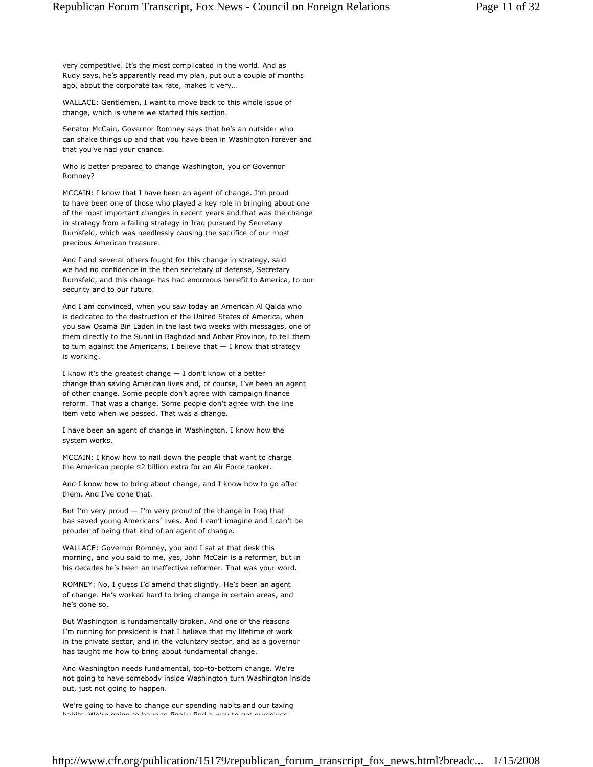very competitive. It's the most complicated in the world. And as Rudy says, he's apparently read my plan, put out a couple of months ago, about the corporate tax rate, makes it very…

WALLACE: Gentlemen, I want to move back to this whole issue of change, which is where we started this section.

Senator McCain, Governor Romney says that he's an outsider who can shake things up and that you have been in Washington forever and that you've had your chance.

Who is better prepared to change Washington, you or Governor Romney?

MCCAIN: I know that I have been an agent of change. I'm proud to have been one of those who played a key role in bringing about one of the most important changes in recent years and that was the change in strategy from a failing strategy in Iraq pursued by Secretary Rumsfeld, which was needlessly causing the sacrifice of our most precious American treasure.

And I and several others fought for this change in strategy, said we had no confidence in the then secretary of defense, Secretary Rumsfeld, and this change has had enormous benefit to America, to our security and to our future.

And I am convinced, when you saw today an American Al Qaida who is dedicated to the destruction of the United States of America, when you saw Osama Bin Laden in the last two weeks with messages, one of them directly to the Sunni in Baghdad and Anbar Province, to tell them to turn against the Americans, I believe that  $-$  I know that strategy is working.

I know it's the greatest change — I don't know of a better change than saving American lives and, of course, I've been an agent of other change. Some people don't agree with campaign finance reform. That was a change. Some people don't agree with the line item veto when we passed. That was a change.

I have been an agent of change in Washington. I know how the system works.

MCCAIN: I know how to nail down the people that want to charge the American people \$2 billion extra for an Air Force tanker.

And I know how to bring about change, and I know how to go after them. And I've done that.

But I'm very proud  $-$  I'm very proud of the change in Iraq that has saved young Americans' lives. And I can't imagine and I can't be prouder of being that kind of an agent of change.

WALLACE: Governor Romney, you and I sat at that desk this morning, and you said to me, yes, John McCain is a reformer, but in his decades he's been an ineffective reformer. That was your word.

ROMNEY: No, I guess I'd amend that slightly. He's been an agent of change. He's worked hard to bring change in certain areas, and he's done so.

But Washington is fundamentally broken. And one of the reasons I'm running for president is that I believe that my lifetime of work in the private sector, and in the voluntary sector, and as a governor has taught me how to bring about fundamental change.

And Washington needs fundamental, top-to-bottom change. We're not going to have somebody inside Washington turn Washington inside out, just not going to happen.

We're going to have to change our spending habits and our taxing habits. We're going to have to finally find a way to get ourselves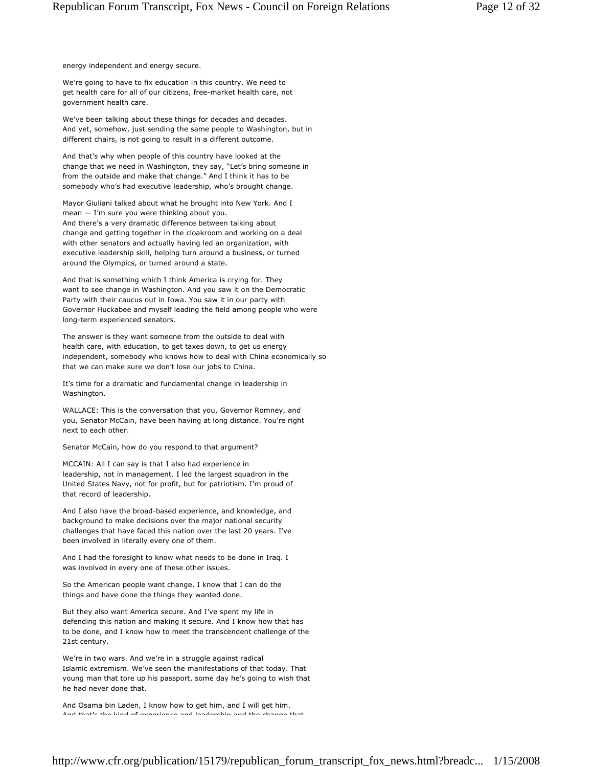energy independent and energy secure.

We're going to have to fix education in this country. We need to get health care for all of our citizens, free-market health care, not government health care.

We've been talking about these things for decades and decades. And yet, somehow, just sending the same people to Washington, but in different chairs, is not going to result in a different outcome.

And that's why when people of this country have looked at the change that we need in Washington, they say, "Let's bring someone in from the outside and make that change." And I think it has to be somebody who's had executive leadership, who's brought change.

Mayor Giuliani talked about what he brought into New York. And I mean — I'm sure you were thinking about you. And there's a very dramatic difference between talking about change and getting together in the cloakroom and working on a deal with other senators and actually having led an organization, with executive leadership skill, helping turn around a business, or turned around the Olympics, or turned around a state.

And that is something which I think America is crying for. They want to see change in Washington. And you saw it on the Democratic Party with their caucus out in Iowa. You saw it in our party with Governor Huckabee and myself leading the field among people who were long-term experienced senators.

The answer is they want someone from the outside to deal with health care, with education, to get taxes down, to get us energy independent, somebody who knows how to deal with China economically so that we can make sure we don't lose our jobs to China.

It's time for a dramatic and fundamental change in leadership in Washington.

WALLACE: This is the conversation that you, Governor Romney, and you, Senator McCain, have been having at long distance. You're right next to each other.

Senator McCain, how do you respond to that argument?

MCCAIN: All I can say is that I also had experience in leadership, not in management. I led the largest squadron in the United States Navy, not for profit, but for patriotism. I'm proud of that record of leadership.

And I also have the broad-based experience, and knowledge, and background to make decisions over the major national security challenges that have faced this nation over the last 20 years. I've been involved in literally every one of them.

And I had the foresight to know what needs to be done in Iraq. I was involved in every one of these other issues.

So the American people want change. I know that I can do the things and have done the things they wanted done.

But they also want America secure. And I've spent my life in defending this nation and making it secure. And I know how that has to be done, and I know how to meet the transcendent challenge of the 21st century.

We're in two wars. And we're in a struggle against radical Islamic extremism. We've seen the manifestations of that today. That young man that tore up his passport, some day he's going to wish that he had never done that.

And Osama bin Laden, I know how to get him, and I will get him. And that's the kind of experience and leadership and the change that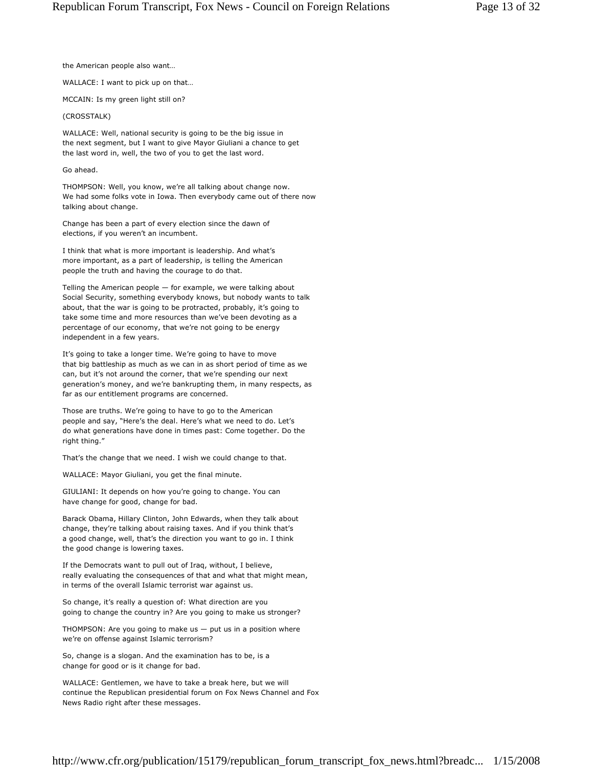the American people also want…

WALLACE: I want to pick up on that…

MCCAIN: Is my green light still on?

(CROSSTALK)

WALLACE: Well, national security is going to be the big issue in the next segment, but I want to give Mayor Giuliani a chance to get the last word in, well, the two of you to get the last word.

Go ahead.

THOMPSON: Well, you know, we're all talking about change now. We had some folks vote in Iowa. Then everybody came out of there now talking about change.

Change has been a part of every election since the dawn of elections, if you weren't an incumbent.

I think that what is more important is leadership. And what's more important, as a part of leadership, is telling the American people the truth and having the courage to do that.

Telling the American people — for example, we were talking about Social Security, something everybody knows, but nobody wants to talk about, that the war is going to be protracted, probably, it's going to take some time and more resources than we've been devoting as a percentage of our economy, that we're not going to be energy independent in a few years.

It's going to take a longer time. We're going to have to move that big battleship as much as we can in as short period of time as we can, but it's not around the corner, that we're spending our next generation's money, and we're bankrupting them, in many respects, as far as our entitlement programs are concerned.

Those are truths. We're going to have to go to the American people and say, "Here's the deal. Here's what we need to do. Let's do what generations have done in times past: Come together. Do the right thing."

That's the change that we need. I wish we could change to that.

WALLACE: Mayor Giuliani, you get the final minute.

GIULIANI: It depends on how you're going to change. You can have change for good, change for bad.

Barack Obama, Hillary Clinton, John Edwards, when they talk about change, they're talking about raising taxes. And if you think that's a good change, well, that's the direction you want to go in. I think the good change is lowering taxes.

If the Democrats want to pull out of Iraq, without, I believe, really evaluating the consequences of that and what that might mean, in terms of the overall Islamic terrorist war against us.

So change, it's really a question of: What direction are you going to change the country in? Are you going to make us stronger?

THOMPSON: Are you going to make us  $-$  put us in a position where we're on offense against Islamic terrorism?

So, change is a slogan. And the examination has to be, is a change for good or is it change for bad.

WALLACE: Gentlemen, we have to take a break here, but we will continue the Republican presidential forum on Fox News Channel and Fox News Radio right after these messages.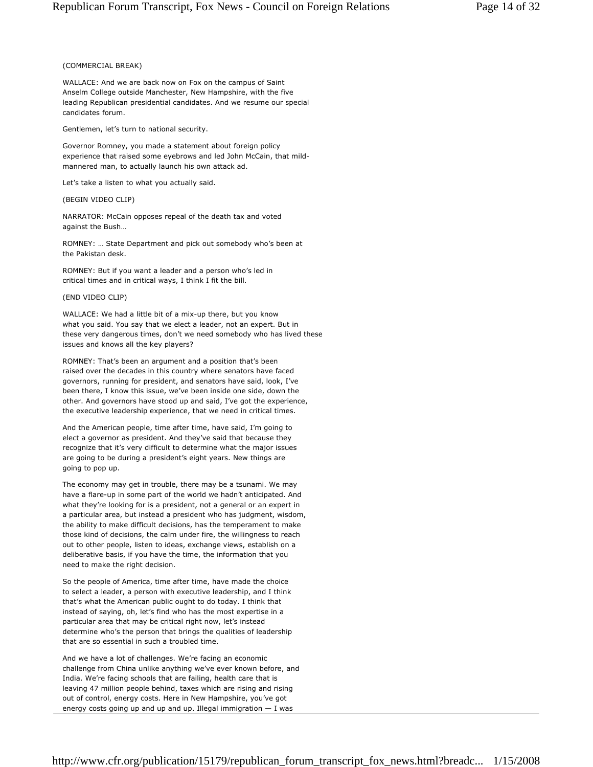# (COMMERCIAL BREAK)

WALLACE: And we are back now on Fox on the campus of Saint Anselm College outside Manchester, New Hampshire, with the five leading Republican presidential candidates. And we resume our special candidates forum.

Gentlemen, let's turn to national security.

Governor Romney, you made a statement about foreign policy experience that raised some eyebrows and led John McCain, that mildmannered man, to actually launch his own attack ad.

Let's take a listen to what you actually said.

(BEGIN VIDEO CLIP)

NARRATOR: McCain opposes repeal of the death tax and voted against the Bush…

ROMNEY: … State Department and pick out somebody who's been at the Pakistan desk.

ROMNEY: But if you want a leader and a person who's led in critical times and in critical ways, I think I fit the bill.

(END VIDEO CLIP)

WALLACE: We had a little bit of a mix-up there, but you know what you said. You say that we elect a leader, not an expert. But in these very dangerous times, don't we need somebody who has lived these issues and knows all the key players?

ROMNEY: That's been an argument and a position that's been raised over the decades in this country where senators have faced governors, running for president, and senators have said, look, I've been there, I know this issue, we've been inside one side, down the other. And governors have stood up and said, I've got the experience, the executive leadership experience, that we need in critical times.

And the American people, time after time, have said, I'm going to elect a governor as president. And they've said that because they recognize that it's very difficult to determine what the major issues are going to be during a president's eight years. New things are going to pop up.

The economy may get in trouble, there may be a tsunami. We may have a flare-up in some part of the world we hadn't anticipated. And what they're looking for is a president, not a general or an expert in a particular area, but instead a president who has judgment, wisdom, the ability to make difficult decisions, has the temperament to make those kind of decisions, the calm under fire, the willingness to reach out to other people, listen to ideas, exchange views, establish on a deliberative basis, if you have the time, the information that you need to make the right decision.

So the people of America, time after time, have made the choice to select a leader, a person with executive leadership, and I think that's what the American public ought to do today. I think that instead of saying, oh, let's find who has the most expertise in a particular area that may be critical right now, let's instead determine who's the person that brings the qualities of leadership that are so essential in such a troubled time.

And we have a lot of challenges. We're facing an economic challenge from China unlike anything we've ever known before, and India. We're facing schools that are failing, health care that is leaving 47 million people behind, taxes which are rising and rising out of control, energy costs. Here in New Hampshire, you've got energy costs going up and up and up. Illegal immigration — I was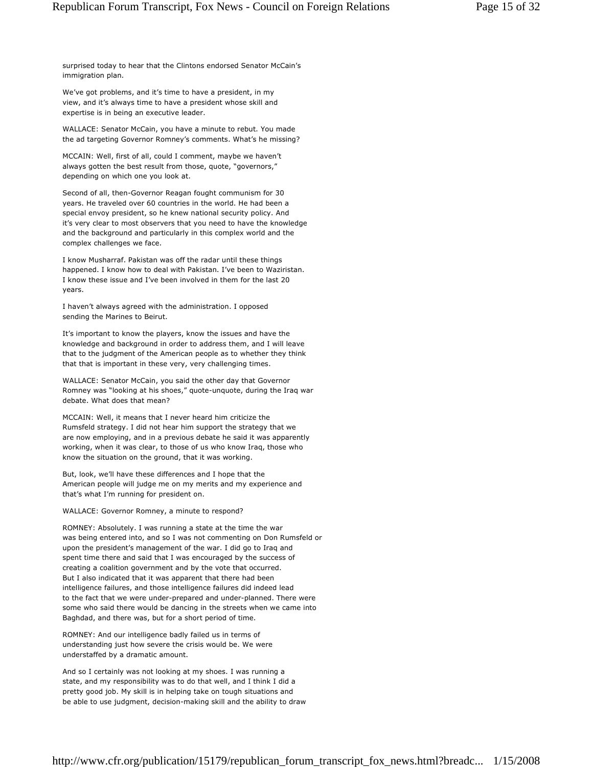surprised today to hear that the Clintons endorsed Senator McCain's immigration plan.

We've got problems, and it's time to have a president, in my view, and it's always time to have a president whose skill and expertise is in being an executive leader.

WALLACE: Senator McCain, you have a minute to rebut. You made the ad targeting Governor Romney's comments. What's he missing?

MCCAIN: Well, first of all, could I comment, maybe we haven't always gotten the best result from those, quote, "governors," depending on which one you look at.

Second of all, then-Governor Reagan fought communism for 30 years. He traveled over 60 countries in the world. He had been a special envoy president, so he knew national security policy. And it's very clear to most observers that you need to have the knowledge and the background and particularly in this complex world and the complex challenges we face.

I know Musharraf. Pakistan was off the radar until these things happened. I know how to deal with Pakistan. I've been to Waziristan. I know these issue and I've been involved in them for the last 20 years.

I haven't always agreed with the administration. I opposed sending the Marines to Beirut.

It's important to know the players, know the issues and have the knowledge and background in order to address them, and I will leave that to the judgment of the American people as to whether they think that that is important in these very, very challenging times.

WALLACE: Senator McCain, you said the other day that Governor Romney was "looking at his shoes," quote-unquote, during the Iraq war debate. What does that mean?

MCCAIN: Well, it means that I never heard him criticize the Rumsfeld strategy. I did not hear him support the strategy that we are now employing, and in a previous debate he said it was apparently working, when it was clear, to those of us who know Iraq, those who know the situation on the ground, that it was working.

But, look, we'll have these differences and I hope that the American people will judge me on my merits and my experience and that's what I'm running for president on.

WALLACE: Governor Romney, a minute to respond?

ROMNEY: Absolutely. I was running a state at the time the war was being entered into, and so I was not commenting on Don Rumsfeld or upon the president's management of the war. I did go to Iraq and spent time there and said that I was encouraged by the success of creating a coalition government and by the vote that occurred. But I also indicated that it was apparent that there had been intelligence failures, and those intelligence failures did indeed lead to the fact that we were under-prepared and under-planned. There were some who said there would be dancing in the streets when we came into Baghdad, and there was, but for a short period of time.

ROMNEY: And our intelligence badly failed us in terms of understanding just how severe the crisis would be. We were understaffed by a dramatic amount.

And so I certainly was not looking at my shoes. I was running a state, and my responsibility was to do that well, and I think I did a pretty good job. My skill is in helping take on tough situations and be able to use judgment, decision-making skill and the ability to draw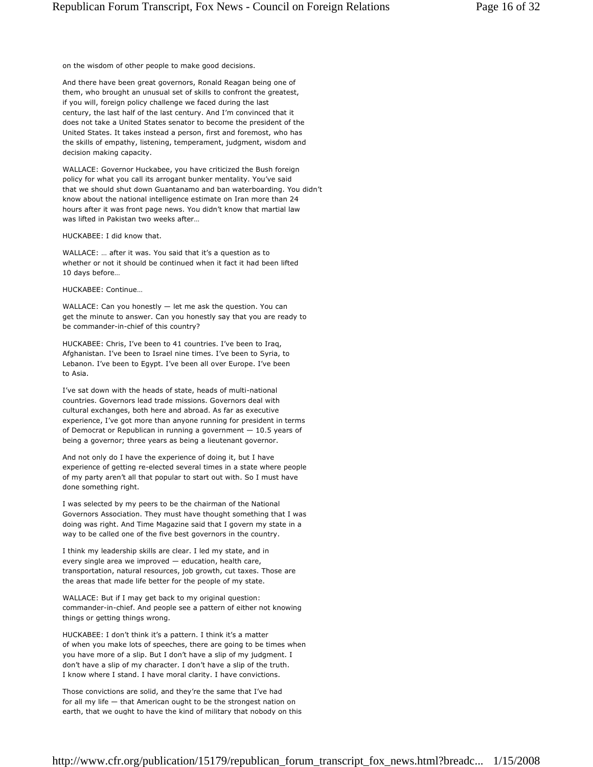on the wisdom of other people to make good decisions.

And there have been great governors, Ronald Reagan being one of them, who brought an unusual set of skills to confront the greatest, if you will, foreign policy challenge we faced during the last century, the last half of the last century. And I'm convinced that it does not take a United States senator to become the president of the United States. It takes instead a person, first and foremost, who has the skills of empathy, listening, temperament, judgment, wisdom and decision making capacity.

WALLACE: Governor Huckabee, you have criticized the Bush foreign policy for what you call its arrogant bunker mentality. You've said that we should shut down Guantanamo and ban waterboarding. You didn't know about the national intelligence estimate on Iran more than 24 hours after it was front page news. You didn't know that martial law was lifted in Pakistan two weeks after…

HUCKABEE: I did know that.

WALLACE: … after it was. You said that it's a question as to whether or not it should be continued when it fact it had been lifted 10 days before…

HUCKABEE: Continue…

WALLACE: Can you honestly — let me ask the question. You can get the minute to answer. Can you honestly say that you are ready to be commander-in-chief of this country?

HUCKABEE: Chris, I've been to 41 countries. I've been to Iraq, Afghanistan. I've been to Israel nine times. I've been to Syria, to Lebanon. I've been to Egypt. I've been all over Europe. I've been to Asia.

I've sat down with the heads of state, heads of multi-national countries. Governors lead trade missions. Governors deal with cultural exchanges, both here and abroad. As far as executive experience, I've got more than anyone running for president in terms of Democrat or Republican in running a government — 10.5 years of being a governor; three years as being a lieutenant governor.

And not only do I have the experience of doing it, but I have experience of getting re-elected several times in a state where people of my party aren't all that popular to start out with. So I must have done something right.

I was selected by my peers to be the chairman of the National Governors Association. They must have thought something that I was doing was right. And Time Magazine said that I govern my state in a way to be called one of the five best governors in the country.

I think my leadership skills are clear. I led my state, and in every single area we improved — education, health care, transportation, natural resources, job growth, cut taxes. Those are the areas that made life better for the people of my state.

WALLACE: But if I may get back to my original question: commander-in-chief. And people see a pattern of either not knowing things or getting things wrong.

HUCKABEE: I don't think it's a pattern. I think it's a matter of when you make lots of speeches, there are going to be times when you have more of a slip. But I don't have a slip of my judgment. I don't have a slip of my character. I don't have a slip of the truth. I know where I stand. I have moral clarity. I have convictions.

Those convictions are solid, and they're the same that I've had for all my life — that American ought to be the strongest nation on earth, that we ought to have the kind of military that nobody on this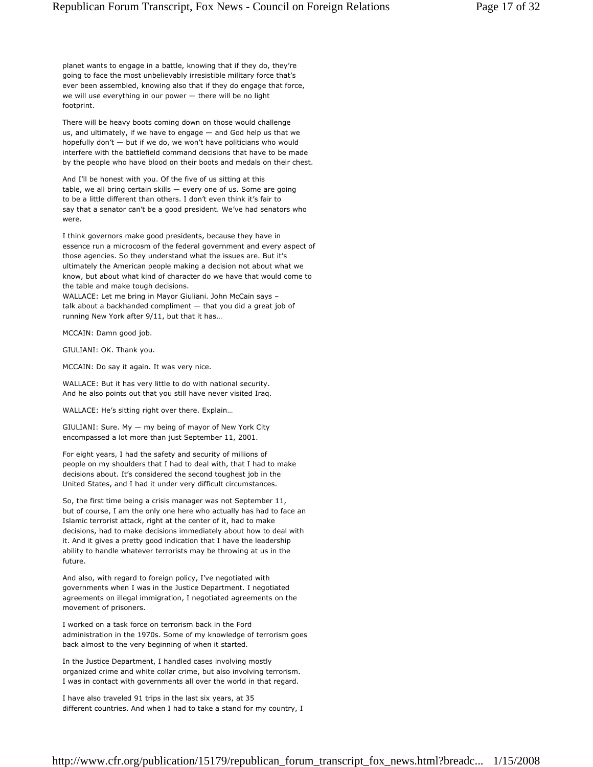planet wants to engage in a battle, knowing that if they do, they're going to face the most unbelievably irresistible military force that's ever been assembled, knowing also that if they do engage that force, we will use everything in our power — there will be no light footprint.

There will be heavy boots coming down on those would challenge us, and ultimately, if we have to engage — and God help us that we hopefully don't — but if we do, we won't have politicians who would interfere with the battlefield command decisions that have to be made by the people who have blood on their boots and medals on their chest.

And I'll be honest with you. Of the five of us sitting at this table, we all bring certain skills  $-$  every one of us. Some are going to be a little different than others. I don't even think it's fair to say that a senator can't be a good president. We've had senators who were.

I think governors make good presidents, because they have in essence run a microcosm of the federal government and every aspect of those agencies. So they understand what the issues are. But it's ultimately the American people making a decision not about what we know, but about what kind of character do we have that would come to the table and make tough decisions.

WALLACE: Let me bring in Mayor Giuliani. John McCain says – talk about a backhanded compliment — that you did a great job of running New York after 9/11, but that it has…

MCCAIN: Damn good job.

GIULIANI: OK. Thank you.

MCCAIN: Do say it again. It was very nice.

WALLACE: But it has very little to do with national security. And he also points out that you still have never visited Iraq.

WALLACE: He's sitting right over there. Explain…

GIULIANI: Sure. My — my being of mayor of New York City encompassed a lot more than just September 11, 2001.

For eight years, I had the safety and security of millions of people on my shoulders that I had to deal with, that I had to make decisions about. It's considered the second toughest job in the United States, and I had it under very difficult circumstances.

So, the first time being a crisis manager was not September 11, but of course, I am the only one here who actually has had to face an Islamic terrorist attack, right at the center of it, had to make decisions, had to make decisions immediately about how to deal with it. And it gives a pretty good indication that I have the leadership ability to handle whatever terrorists may be throwing at us in the future.

And also, with regard to foreign policy, I've negotiated with governments when I was in the Justice Department. I negotiated agreements on illegal immigration, I negotiated agreements on the movement of prisoners.

I worked on a task force on terrorism back in the Ford administration in the 1970s. Some of my knowledge of terrorism goes back almost to the very beginning of when it started.

In the Justice Department, I handled cases involving mostly organized crime and white collar crime, but also involving terrorism. I was in contact with governments all over the world in that regard.

I have also traveled 91 trips in the last six years, at 35 different countries. And when I had to take a stand for my country, I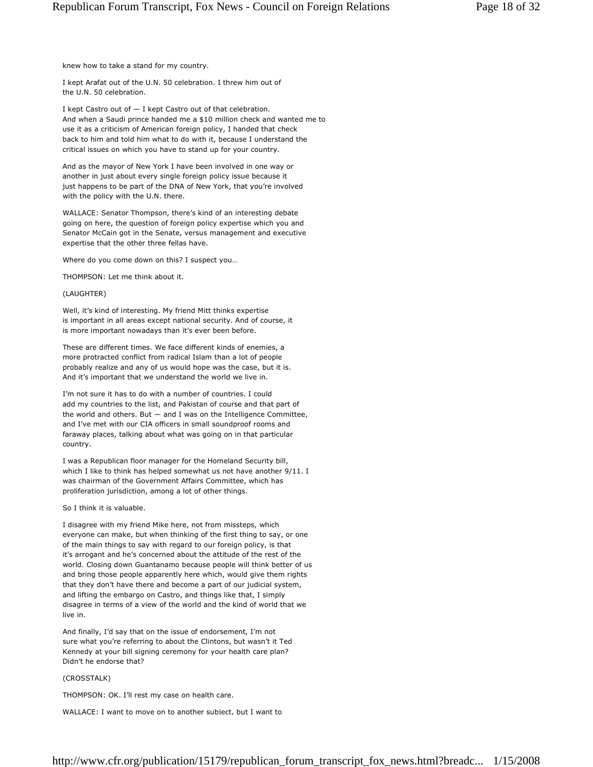knew how to take a stand for my country.

I kept Arafat out of the U.N. 50 celebration. I threw him out of the U.N. 50 celebration.

I kept Castro out of — I kept Castro out of that celebration. And when a Saudi prince handed me a \$10 million check and wanted me to use it as a criticism of American foreign policy, I handed that check back to him and told him what to do with it, because I understand the critical issues on which you have to stand up for your country.

And as the mayor of New York I have been involved in one way or another in just about every single foreign policy issue because it just happens to be part of the DNA of New York, that you're involved with the policy with the U.N. there.

WALLACE: Senator Thompson, there's kind of an interesting debate going on here, the question of foreign policy expertise which you and Senator McCain got in the Senate, versus management and executive expertise that the other three fellas have.

Where do you come down on this? I suspect you…

THOMPSON: Let me think about it.

# (LAUGHTER)

Well, it's kind of interesting. My friend Mitt thinks expertise is important in all areas except national security. And of course, it is more important nowadays than it's ever been before.

These are different times. We face different kinds of enemies, a more protracted conflict from radical Islam than a lot of people probably realize and any of us would hope was the case, but it is. And it's important that we understand the world we live in.

I'm not sure it has to do with a number of countries. I could add my countries to the list, and Pakistan of course and that part of the world and others. But  $-$  and I was on the Intelligence Committee, and I've met with our CIA officers in small soundproof rooms and faraway places, talking about what was going on in that particular country.

I was a Republican floor manager for the Homeland Security bill, which I like to think has helped somewhat us not have another 9/11. I was chairman of the Government Affairs Committee, which has proliferation jurisdiction, among a lot of other things.

# So I think it is valuable.

I disagree with my friend Mike here, not from missteps, which everyone can make, but when thinking of the first thing to say, or one of the main things to say with regard to our foreign policy, is that it's arrogant and he's concerned about the attitude of the rest of the world. Closing down Guantanamo because people will think better of us and bring those people apparently here which, would give them rights that they don't have there and become a part of our judicial system, and lifting the embargo on Castro, and things like that, I simply disagree in terms of a view of the world and the kind of world that we live in.

And finally, I'd say that on the issue of endorsement, I'm not sure what you're referring to about the Clintons, but wasn't it Ted Kennedy at your bill signing ceremony for your health care plan? Didn't he endorse that?

# (CROSSTALK)

THOMPSON: OK. I'll rest my case on health care.

WALLACE: I want to move on to another subject, but I want to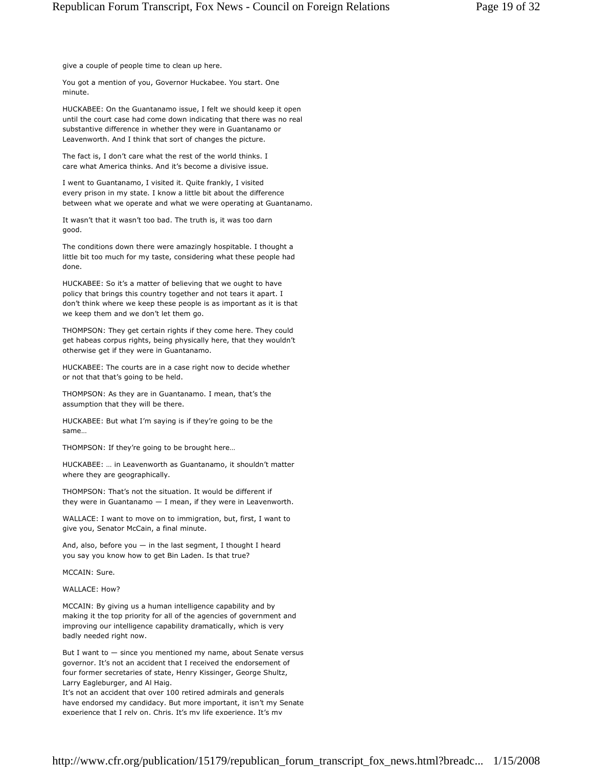give a couple of people time to clean up here.

You got a mention of you, Governor Huckabee. You start. One minute.

HUCKABEE: On the Guantanamo issue, I felt we should keep it open until the court case had come down indicating that there was no real substantive difference in whether they were in Guantanamo or Leavenworth. And I think that sort of changes the picture.

The fact is, I don't care what the rest of the world thinks. I care what America thinks. And it's become a divisive issue.

I went to Guantanamo, I visited it. Quite frankly, I visited every prison in my state. I know a little bit about the difference between what we operate and what we were operating at Guantanamo.

It wasn't that it wasn't too bad. The truth is, it was too darn good.

The conditions down there were amazingly hospitable. I thought a little bit too much for my taste, considering what these people had done.

HUCKABEE: So it's a matter of believing that we ought to have policy that brings this country together and not tears it apart. I don't think where we keep these people is as important as it is that we keep them and we don't let them go.

THOMPSON: They get certain rights if they come here. They could get habeas corpus rights, being physically here, that they wouldn't otherwise get if they were in Guantanamo.

HUCKABEE: The courts are in a case right now to decide whether or not that that's going to be held.

THOMPSON: As they are in Guantanamo. I mean, that's the assumption that they will be there.

HUCKABEE: But what I'm saying is if they're going to be the same…

THOMPSON: If they're going to be brought here…

HUCKABEE: … in Leavenworth as Guantanamo, it shouldn't matter where they are geographically.

THOMPSON: That's not the situation. It would be different if they were in Guantanamo — I mean, if they were in Leavenworth.

WALLACE: I want to move on to immigration, but, first, I want to give you, Senator McCain, a final minute.

And, also, before you  $-$  in the last segment, I thought I heard you say you know how to get Bin Laden. Is that true?

MCCAIN: Sure.

WALLACE: How?

MCCAIN: By giving us a human intelligence capability and by making it the top priority for all of the agencies of government and improving our intelligence capability dramatically, which is very badly needed right now.

But I want to  $-$  since you mentioned my name, about Senate versus governor. It's not an accident that I received the endorsement of four former secretaries of state, Henry Kissinger, George Shultz, Larry Eagleburger, and Al Haig.

It's not an accident that over 100 retired admirals and generals have endorsed my candidacy. But more important, it isn't my Senate experience that I rely on, Chris. It's my life experience. It's my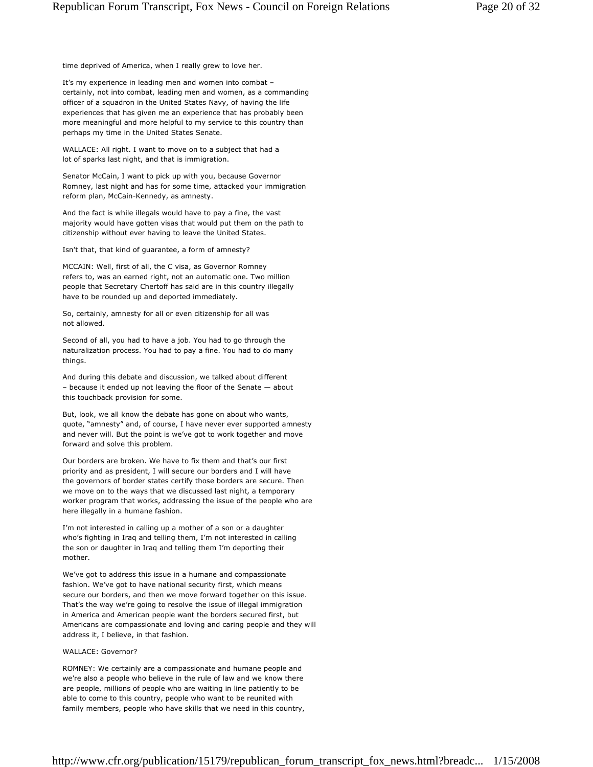time deprived of America, when I really grew to love her.

It's my experience in leading men and women into combat – certainly, not into combat, leading men and women, as a commanding officer of a squadron in the United States Navy, of having the life experiences that has given me an experience that has probably been more meaningful and more helpful to my service to this country than perhaps my time in the United States Senate.

WALLACE: All right. I want to move on to a subject that had a lot of sparks last night, and that is immigration.

Senator McCain, I want to pick up with you, because Governor Romney, last night and has for some time, attacked your immigration reform plan, McCain-Kennedy, as amnesty.

And the fact is while illegals would have to pay a fine, the vast majority would have gotten visas that would put them on the path to citizenship without ever having to leave the United States.

Isn't that, that kind of guarantee, a form of amnesty?

MCCAIN: Well, first of all, the C visa, as Governor Romney refers to, was an earned right, not an automatic one. Two million people that Secretary Chertoff has said are in this country illegally have to be rounded up and deported immediately.

So, certainly, amnesty for all or even citizenship for all was not allowed.

Second of all, you had to have a job. You had to go through the naturalization process. You had to pay a fine. You had to do many things.

And during this debate and discussion, we talked about different – because it ended up not leaving the floor of the Senate — about this touchback provision for some.

But, look, we all know the debate has gone on about who wants, quote, "amnesty" and, of course, I have never ever supported amnesty and never will. But the point is we've got to work together and move forward and solve this problem.

Our borders are broken. We have to fix them and that's our first priority and as president, I will secure our borders and I will have the governors of border states certify those borders are secure. Then we move on to the ways that we discussed last night, a temporary worker program that works, addressing the issue of the people who are here illegally in a humane fashion.

I'm not interested in calling up a mother of a son or a daughter who's fighting in Iraq and telling them, I'm not interested in calling the son or daughter in Iraq and telling them I'm deporting their mother.

We've got to address this issue in a humane and compassionate fashion. We've got to have national security first, which means secure our borders, and then we move forward together on this issue. That's the way we're going to resolve the issue of illegal immigration in America and American people want the borders secured first, but Americans are compassionate and loving and caring people and they will address it, I believe, in that fashion.

WALLACE: Governor?

ROMNEY: We certainly are a compassionate and humane people and we're also a people who believe in the rule of law and we know there are people, millions of people who are waiting in line patiently to be able to come to this country, people who want to be reunited with family members, people who have skills that we need in this country,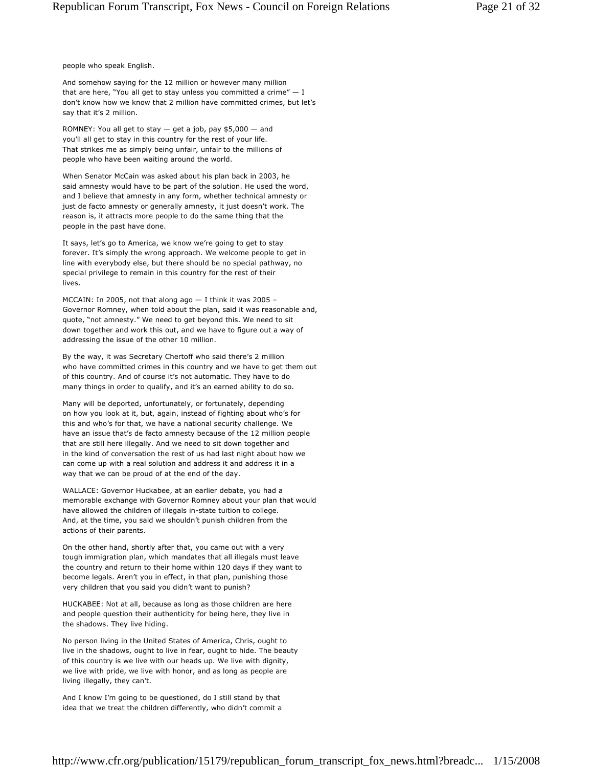people who speak English.

And somehow saying for the 12 million or however many million that are here, "You all get to stay unless you committed a crime"  $-1$ don't know how we know that 2 million have committed crimes, but let's say that it's 2 million.

ROMNEY: You all get to stay — get a job, pay \$5,000 — and you'll all get to stay in this country for the rest of your life. That strikes me as simply being unfair, unfair to the millions of people who have been waiting around the world.

When Senator McCain was asked about his plan back in 2003, he said amnesty would have to be part of the solution. He used the word, and I believe that amnesty in any form, whether technical amnesty or just de facto amnesty or generally amnesty, it just doesn't work. The reason is, it attracts more people to do the same thing that the people in the past have done.

It says, let's go to America, we know we're going to get to stay forever. It's simply the wrong approach. We welcome people to get in line with everybody else, but there should be no special pathway, no special privilege to remain in this country for the rest of their lives.

MCCAIN: In 2005, not that along ago — I think it was 2005 – Governor Romney, when told about the plan, said it was reasonable and, quote, "not amnesty." We need to get beyond this. We need to sit down together and work this out, and we have to figure out a way of addressing the issue of the other 10 million.

By the way, it was Secretary Chertoff who said there's 2 million who have committed crimes in this country and we have to get them out of this country. And of course it's not automatic. They have to do many things in order to qualify, and it's an earned ability to do so.

Many will be deported, unfortunately, or fortunately, depending on how you look at it, but, again, instead of fighting about who's for this and who's for that, we have a national security challenge. We have an issue that's de facto amnesty because of the 12 million people that are still here illegally. And we need to sit down together and in the kind of conversation the rest of us had last night about how we can come up with a real solution and address it and address it in a way that we can be proud of at the end of the day.

WALLACE: Governor Huckabee, at an earlier debate, you had a memorable exchange with Governor Romney about your plan that would have allowed the children of illegals in-state tuition to college. And, at the time, you said we shouldn't punish children from the actions of their parents.

On the other hand, shortly after that, you came out with a very tough immigration plan, which mandates that all illegals must leave the country and return to their home within 120 days if they want to become legals. Aren't you in effect, in that plan, punishing those very children that you said you didn't want to punish?

HUCKABEE: Not at all, because as long as those children are here and people question their authenticity for being here, they live in the shadows. They live hiding.

No person living in the United States of America, Chris, ought to live in the shadows, ought to live in fear, ought to hide. The beauty of this country is we live with our heads up. We live with dignity, we live with pride, we live with honor, and as long as people are living illegally, they can't.

And I know I'm going to be questioned, do I still stand by that idea that we treat the children differently, who didn't commit a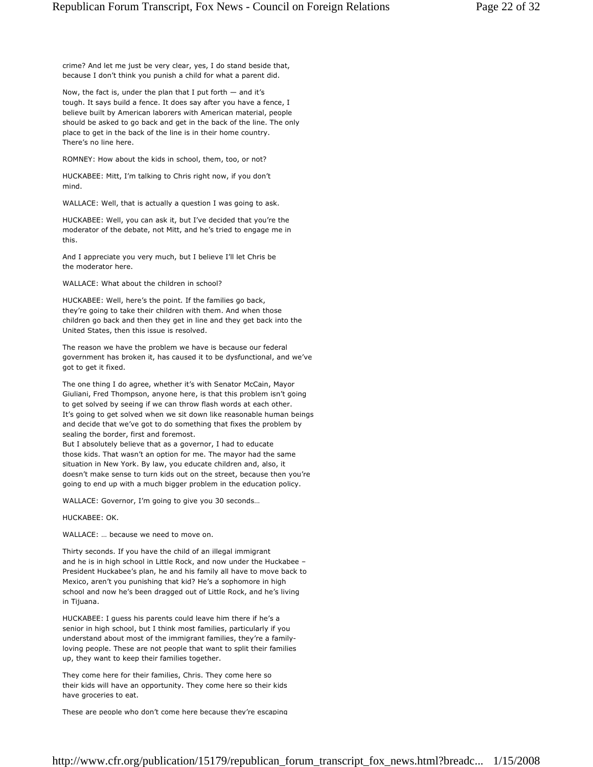crime? And let me just be very clear, yes, I do stand beside that, because I don't think you punish a child for what a parent did.

Now, the fact is, under the plan that I put forth  $-$  and it's tough. It says build a fence. It does say after you have a fence, I believe built by American laborers with American material, people should be asked to go back and get in the back of the line. The only place to get in the back of the line is in their home country. There's no line here.

ROMNEY: How about the kids in school, them, too, or not?

HUCKABEE: Mitt, I'm talking to Chris right now, if you don't mind.

WALLACE: Well, that is actually a question I was going to ask.

HUCKABEE: Well, you can ask it, but I've decided that you're the moderator of the debate, not Mitt, and he's tried to engage me in this.

And I appreciate you very much, but I believe I'll let Chris be the moderator here.

WALLACE: What about the children in school?

HUCKABEE: Well, here's the point. If the families go back, they're going to take their children with them. And when those children go back and then they get in line and they get back into the United States, then this issue is resolved.

The reason we have the problem we have is because our federal government has broken it, has caused it to be dysfunctional, and we've got to get it fixed.

The one thing I do agree, whether it's with Senator McCain, Mayor Giuliani, Fred Thompson, anyone here, is that this problem isn't going to get solved by seeing if we can throw flash words at each other. It's going to get solved when we sit down like reasonable human beings and decide that we've got to do something that fixes the problem by sealing the border, first and foremost.

But I absolutely believe that as a governor, I had to educate those kids. That wasn't an option for me. The mayor had the same situation in New York. By law, you educate children and, also, it doesn't make sense to turn kids out on the street, because then you're going to end up with a much bigger problem in the education policy.

WALLACE: Governor, I'm going to give you 30 seconds…

HUCKABEE: OK.

WALLACE: … because we need to move on.

Thirty seconds. If you have the child of an illegal immigrant and he is in high school in Little Rock, and now under the Huckabee – President Huckabee's plan, he and his family all have to move back to Mexico, aren't you punishing that kid? He's a sophomore in high school and now he's been dragged out of Little Rock, and he's living in Tijuana.

HUCKABEE: I guess his parents could leave him there if he's a senior in high school, but I think most families, particularly if you understand about most of the immigrant families, they're a familyloving people. These are not people that want to split their families up, they want to keep their families together.

They come here for their families, Chris. They come here so their kids will have an opportunity. They come here so their kids have groceries to eat.

These are people who don't come here because they're escaping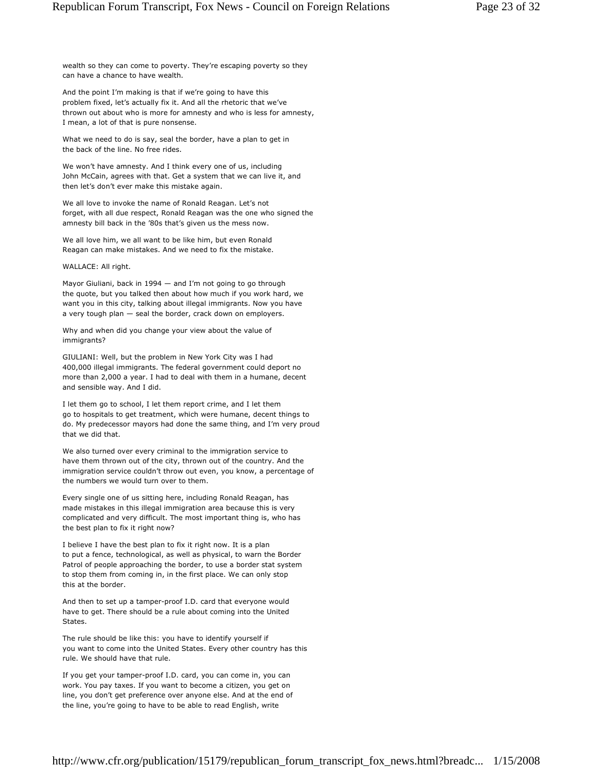wealth so they can come to poverty. They're escaping poverty so they can have a chance to have wealth.

And the point I'm making is that if we're going to have this problem fixed, let's actually fix it. And all the rhetoric that we've thrown out about who is more for amnesty and who is less for amnesty, I mean, a lot of that is pure nonsense.

What we need to do is say, seal the border, have a plan to get in the back of the line. No free rides.

We won't have amnesty. And I think every one of us, including John McCain, agrees with that. Get a system that we can live it, and then let's don't ever make this mistake again.

We all love to invoke the name of Ronald Reagan. Let's not forget, with all due respect, Ronald Reagan was the one who signed the amnesty bill back in the '80s that's given us the mess now.

We all love him, we all want to be like him, but even Ronald Reagan can make mistakes. And we need to fix the mistake.

WALLACE: All right.

Mayor Giuliani, back in 1994 — and I'm not going to go through the quote, but you talked then about how much if you work hard, we want you in this city, talking about illegal immigrants. Now you have a very tough plan — seal the border, crack down on employers.

Why and when did you change your view about the value of immigrants?

GIULIANI: Well, but the problem in New York City was I had 400,000 illegal immigrants. The federal government could deport no more than 2,000 a year. I had to deal with them in a humane, decent and sensible way. And I did.

I let them go to school, I let them report crime, and I let them go to hospitals to get treatment, which were humane, decent things to do. My predecessor mayors had done the same thing, and I'm very proud that we did that.

We also turned over every criminal to the immigration service to have them thrown out of the city, thrown out of the country. And the immigration service couldn't throw out even, you know, a percentage of the numbers we would turn over to them.

Every single one of us sitting here, including Ronald Reagan, has made mistakes in this illegal immigration area because this is very complicated and very difficult. The most important thing is, who has the best plan to fix it right now?

I believe I have the best plan to fix it right now. It is a plan to put a fence, technological, as well as physical, to warn the Border Patrol of people approaching the border, to use a border stat system to stop them from coming in, in the first place. We can only stop this at the border.

And then to set up a tamper-proof I.D. card that everyone would have to get. There should be a rule about coming into the United States.

The rule should be like this: you have to identify yourself if you want to come into the United States. Every other country has this rule. We should have that rule.

If you get your tamper-proof I.D. card, you can come in, you can work. You pay taxes. If you want to become a citizen, you get on line, you don't get preference over anyone else. And at the end of the line, you're going to have to be able to read English, write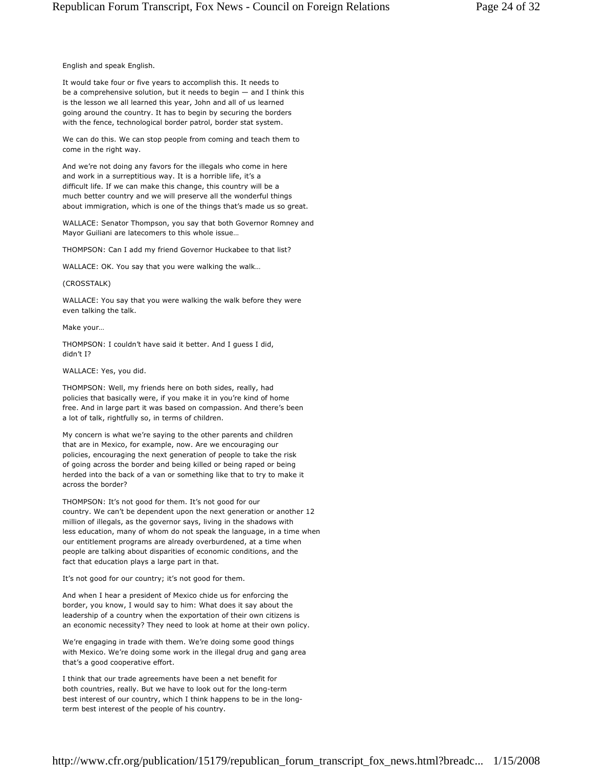English and speak English.

It would take four or five years to accomplish this. It needs to be a comprehensive solution, but it needs to begin — and I think this is the lesson we all learned this year, John and all of us learned going around the country. It has to begin by securing the borders with the fence, technological border patrol, border stat system.

We can do this. We can stop people from coming and teach them to come in the right way.

And we're not doing any favors for the illegals who come in here and work in a surreptitious way. It is a horrible life, it's a difficult life. If we can make this change, this country will be a much better country and we will preserve all the wonderful things about immigration, which is one of the things that's made us so great.

WALLACE: Senator Thompson, you say that both Governor Romney and Mayor Guiliani are latecomers to this whole issue…

THOMPSON: Can I add my friend Governor Huckabee to that list?

WALLACE: OK. You say that you were walking the walk…

#### (CROSSTALK)

WALLACE: You say that you were walking the walk before they were even talking the talk.

Make your…

THOMPSON: I couldn't have said it better. And I guess I did, didn't I?

WALLACE: Yes, you did.

THOMPSON: Well, my friends here on both sides, really, had policies that basically were, if you make it in you're kind of home free. And in large part it was based on compassion. And there's been a lot of talk, rightfully so, in terms of children.

My concern is what we're saying to the other parents and children that are in Mexico, for example, now. Are we encouraging our policies, encouraging the next generation of people to take the risk of going across the border and being killed or being raped or being herded into the back of a van or something like that to try to make it across the border?

THOMPSON: It's not good for them. It's not good for our country. We can't be dependent upon the next generation or another 12 million of illegals, as the governor says, living in the shadows with less education, many of whom do not speak the language, in a time when our entitlement programs are already overburdened, at a time when people are talking about disparities of economic conditions, and the fact that education plays a large part in that.

It's not good for our country; it's not good for them.

And when I hear a president of Mexico chide us for enforcing the border, you know, I would say to him: What does it say about the leadership of a country when the exportation of their own citizens is an economic necessity? They need to look at home at their own policy.

We're engaging in trade with them. We're doing some good things with Mexico. We're doing some work in the illegal drug and gang area that's a good cooperative effort.

I think that our trade agreements have been a net benefit for both countries, really. But we have to look out for the long-term best interest of our country, which I think happens to be in the longterm best interest of the people of his country.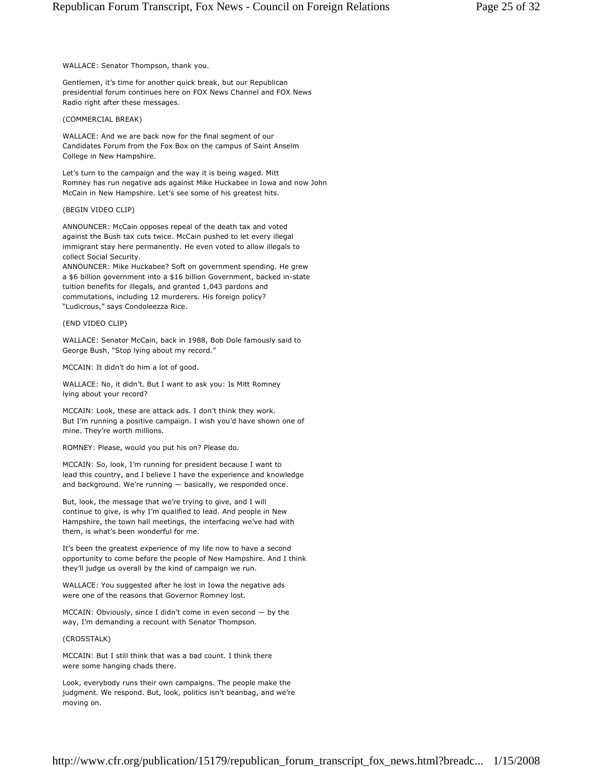WALLACE: Senator Thompson, thank you.

Gentlemen, it's time for another quick break, but our Republican presidential forum continues here on FOX News Channel and FOX News Radio right after these messages.

#### (COMMERCIAL BREAK)

WALLACE: And we are back now for the final segment of our Candidates Forum from the Fox Box on the campus of Saint Anselm College in New Hampshire.

Let's turn to the campaign and the way it is being waged. Mitt Romney has run negative ads against Mike Huckabee in Iowa and now John McCain in New Hampshire. Let's see some of his greatest hits.

#### (BEGIN VIDEO CLIP)

ANNOUNCER: McCain opposes repeal of the death tax and voted against the Bush tax cuts twice. McCain pushed to let every illegal immigrant stay here permanently. He even voted to allow illegals to collect Social Security.

ANNOUNCER: Mike Huckabee? Soft on government spending. He grew a \$6 billion government into a \$16 billion Government, backed in-state tuition benefits for illegals, and granted 1,043 pardons and commutations, including 12 murderers. His foreign policy? "Ludicrous," says Condoleezza Rice.

#### (END VIDEO CLIP)

WALLACE: Senator McCain, back in 1988, Bob Dole famously said to George Bush, "Stop lying about my record."

MCCAIN: It didn't do him a lot of good.

WALLACE: No, it didn't. But I want to ask you: Is Mitt Romney lying about your record?

MCCAIN: Look, these are attack ads. I don't think they work. But I'm running a positive campaign. I wish you'd have shown one of mine. They're worth millions.

ROMNEY: Please, would you put his on? Please do.

MCCAIN: So, look, I'm running for president because I want to lead this country, and I believe I have the experience and knowledge and background. We're running — basically, we responded once.

But, look, the message that we're trying to give, and I will continue to give, is why I'm qualified to lead. And people in New Hampshire, the town hall meetings, the interfacing we've had with them, is what's been wonderful for me.

It's been the greatest experience of my life now to have a second opportunity to come before the people of New Hampshire. And I think they'll judge us overall by the kind of campaign we run.

WALLACE: You suggested after he lost in Iowa the negative ads were one of the reasons that Governor Romney lost.

MCCAIN: Obviously, since I didn't come in even second — by the way, I'm demanding a recount with Senator Thompson.

## (CROSSTALK)

MCCAIN: But I still think that was a bad count. I think there were some hanging chads there.

Look, everybody runs their own campaigns. The people make the judgment. We respond. But, look, politics isn't beanbag, and we're moving on.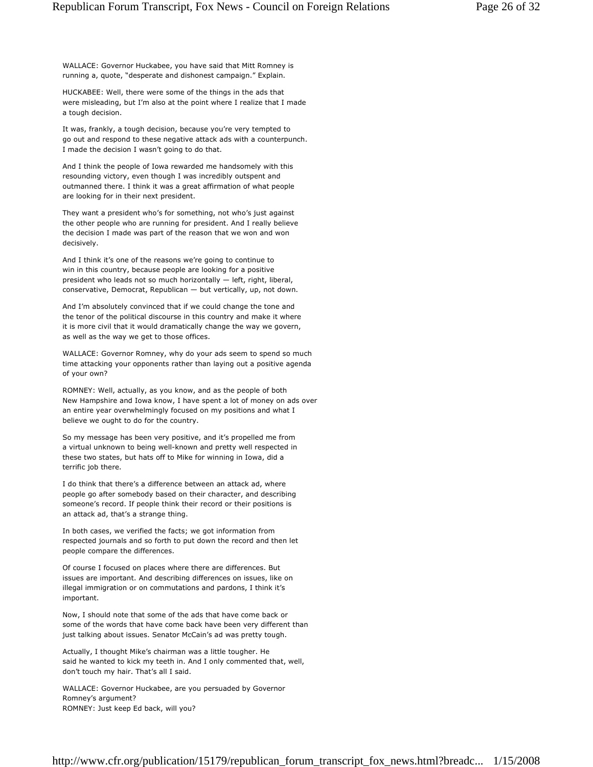WALLACE: Governor Huckabee, you have said that Mitt Romney is running a, quote, "desperate and dishonest campaign." Explain.

HUCKABEE: Well, there were some of the things in the ads that were misleading, but I'm also at the point where I realize that I made a tough decision.

It was, frankly, a tough decision, because you're very tempted to go out and respond to these negative attack ads with a counterpunch. I made the decision I wasn't going to do that.

And I think the people of Iowa rewarded me handsomely with this resounding victory, even though I was incredibly outspent and outmanned there. I think it was a great affirmation of what people are looking for in their next president.

They want a president who's for something, not who's just against the other people who are running for president. And I really believe the decision I made was part of the reason that we won and won decisively.

And I think it's one of the reasons we're going to continue to win in this country, because people are looking for a positive president who leads not so much horizontally — left, right, liberal, conservative, Democrat, Republican — but vertically, up, not down.

And I'm absolutely convinced that if we could change the tone and the tenor of the political discourse in this country and make it where it is more civil that it would dramatically change the way we govern, as well as the way we get to those offices.

WALLACE: Governor Romney, why do your ads seem to spend so much time attacking your opponents rather than laying out a positive agenda of your own?

ROMNEY: Well, actually, as you know, and as the people of both New Hampshire and Iowa know, I have spent a lot of money on ads over an entire year overwhelmingly focused on my positions and what I believe we ought to do for the country.

So my message has been very positive, and it's propelled me from a virtual unknown to being well-known and pretty well respected in these two states, but hats off to Mike for winning in Iowa, did a terrific job there.

I do think that there's a difference between an attack ad, where people go after somebody based on their character, and describing someone's record. If people think their record or their positions is an attack ad, that's a strange thing.

In both cases, we verified the facts; we got information from respected journals and so forth to put down the record and then let people compare the differences.

Of course I focused on places where there are differences. But issues are important. And describing differences on issues, like on illegal immigration or on commutations and pardons, I think it's important.

Now, I should note that some of the ads that have come back or some of the words that have come back have been very different than just talking about issues. Senator McCain's ad was pretty tough.

Actually, I thought Mike's chairman was a little tougher. He said he wanted to kick my teeth in. And I only commented that, well, don't touch my hair. That's all I said.

WALLACE: Governor Huckabee, are you persuaded by Governor Romney's argument? ROMNEY: Just keep Ed back, will you?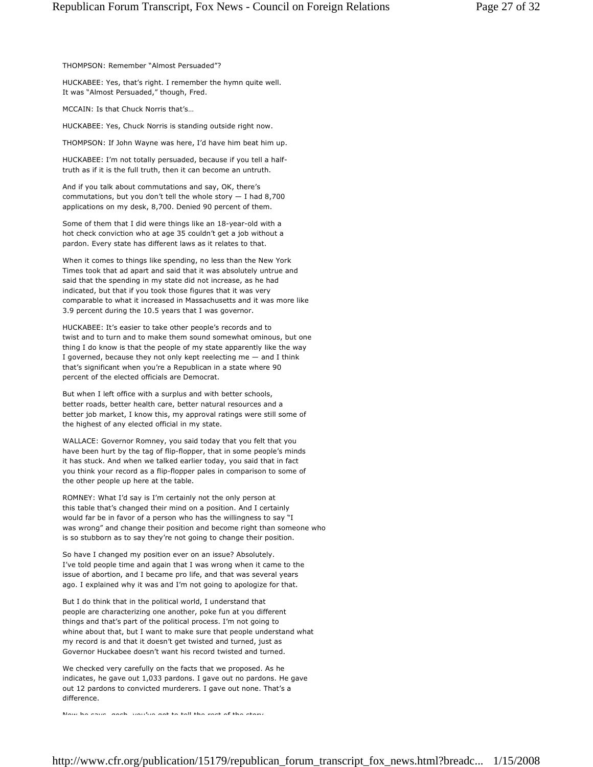THOMPSON: Remember "Almost Persuaded"?

HUCKABEE: Yes, that's right. I remember the hymn quite well. It was "Almost Persuaded," though, Fred.

MCCAIN: Is that Chuck Norris that's…

HUCKABEE: Yes, Chuck Norris is standing outside right now.

THOMPSON: If John Wayne was here, I'd have him beat him up.

HUCKABEE: I'm not totally persuaded, because if you tell a halftruth as if it is the full truth, then it can become an untruth.

And if you talk about commutations and say, OK, there's commutations, but you don't tell the whole story  $-$  I had 8,700 applications on my desk, 8,700. Denied 90 percent of them.

Some of them that I did were things like an 18-year-old with a hot check conviction who at age 35 couldn't get a job without a pardon. Every state has different laws as it relates to that.

When it comes to things like spending, no less than the New York Times took that ad apart and said that it was absolutely untrue and said that the spending in my state did not increase, as he had indicated, but that if you took those figures that it was very comparable to what it increased in Massachusetts and it was more like 3.9 percent during the 10.5 years that I was governor.

HUCKABEE: It's easier to take other people's records and to twist and to turn and to make them sound somewhat ominous, but one thing I do know is that the people of my state apparently like the way I governed, because they not only kept reelecting me — and I think that's significant when you're a Republican in a state where 90 percent of the elected officials are Democrat.

But when I left office with a surplus and with better schools, better roads, better health care, better natural resources and a better job market, I know this, my approval ratings were still some of the highest of any elected official in my state.

WALLACE: Governor Romney, you said today that you felt that you have been hurt by the tag of flip-flopper, that in some people's minds it has stuck. And when we talked earlier today, you said that in fact you think your record as a flip-flopper pales in comparison to some of the other people up here at the table.

ROMNEY: What I'd say is I'm certainly not the only person at this table that's changed their mind on a position. And I certainly would far be in favor of a person who has the willingness to say "I was wrong" and change their position and become right than someone who is so stubborn as to say they're not going to change their position.

So have I changed my position ever on an issue? Absolutely. I've told people time and again that I was wrong when it came to the issue of abortion, and I became pro life, and that was several years ago. I explained why it was and I'm not going to apologize for that.

But I do think that in the political world, I understand that people are characterizing one another, poke fun at you different things and that's part of the political process. I'm not going to whine about that, but I want to make sure that people understand what my record is and that it doesn't get twisted and turned, just as Governor Huckabee doesn't want his record twisted and turned.

We checked very carefully on the facts that we proposed. As he indicates, he gave out 1,033 pardons. I gave out no pardons. He gave out 12 pardons to convicted murderers. I gave out none. That's a difference.

Now he says, gosh, you've got to tell the rest of the story.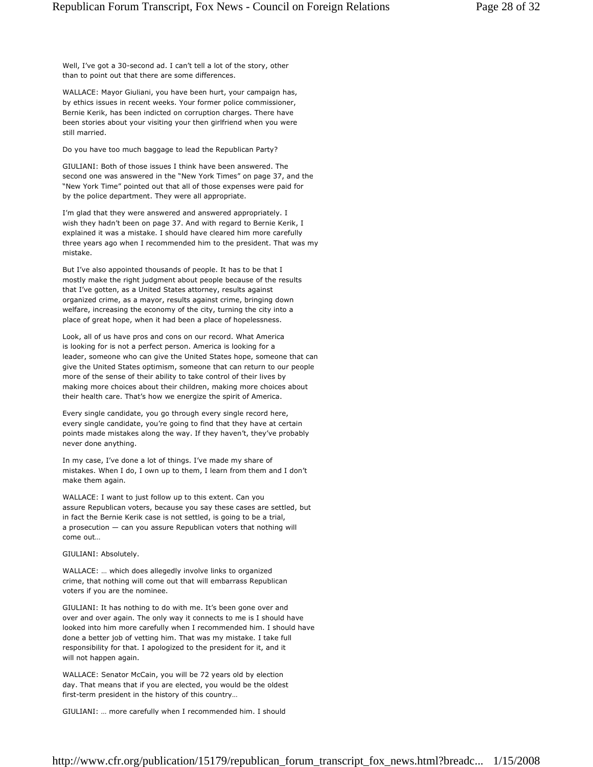Well, I've got a 30-second ad. I can't tell a lot of the story, other than to point out that there are some differences.

WALLACE: Mayor Giuliani, you have been hurt, your campaign has, by ethics issues in recent weeks. Your former police commissioner, Bernie Kerik, has been indicted on corruption charges. There have been stories about your visiting your then girlfriend when you were still married.

Do you have too much baggage to lead the Republican Party?

GIULIANI: Both of those issues I think have been answered. The second one was answered in the "New York Times" on page 37, and the "New York Time" pointed out that all of those expenses were paid for by the police department. They were all appropriate.

I'm glad that they were answered and answered appropriately. I wish they hadn't been on page 37. And with regard to Bernie Kerik, I explained it was a mistake. I should have cleared him more carefully three years ago when I recommended him to the president. That was my mistake.

But I've also appointed thousands of people. It has to be that I mostly make the right judgment about people because of the results that I've gotten, as a United States attorney, results against organized crime, as a mayor, results against crime, bringing down welfare, increasing the economy of the city, turning the city into a place of great hope, when it had been a place of hopelessness.

Look, all of us have pros and cons on our record. What America is looking for is not a perfect person. America is looking for a leader, someone who can give the United States hope, someone that can give the United States optimism, someone that can return to our people more of the sense of their ability to take control of their lives by making more choices about their children, making more choices about their health care. That's how we energize the spirit of America.

Every single candidate, you go through every single record here, every single candidate, you're going to find that they have at certain points made mistakes along the way. If they haven't, they've probably never done anything.

In my case, I've done a lot of things. I've made my share of mistakes. When I do, I own up to them, I learn from them and I don't make them again.

WALLACE: I want to just follow up to this extent. Can you assure Republican voters, because you say these cases are settled, but in fact the Bernie Kerik case is not settled, is going to be a trial, a prosecution — can you assure Republican voters that nothing will come out…

GIULIANI: Absolutely.

WALLACE: … which does allegedly involve links to organized crime, that nothing will come out that will embarrass Republican voters if you are the nominee.

GIULIANI: It has nothing to do with me. It's been gone over and over and over again. The only way it connects to me is I should have looked into him more carefully when I recommended him. I should have done a better job of vetting him. That was my mistake. I take full responsibility for that. I apologized to the president for it, and it will not happen again.

WALLACE: Senator McCain, you will be 72 years old by election day. That means that if you are elected, you would be the oldest first-term president in the history of this country…

GIULIANI: … more carefully when I recommended him. I should

http://www.cfr.org/publication/15179/republican\_forum\_transcript\_fox\_news.html?breadc... 1/15/2008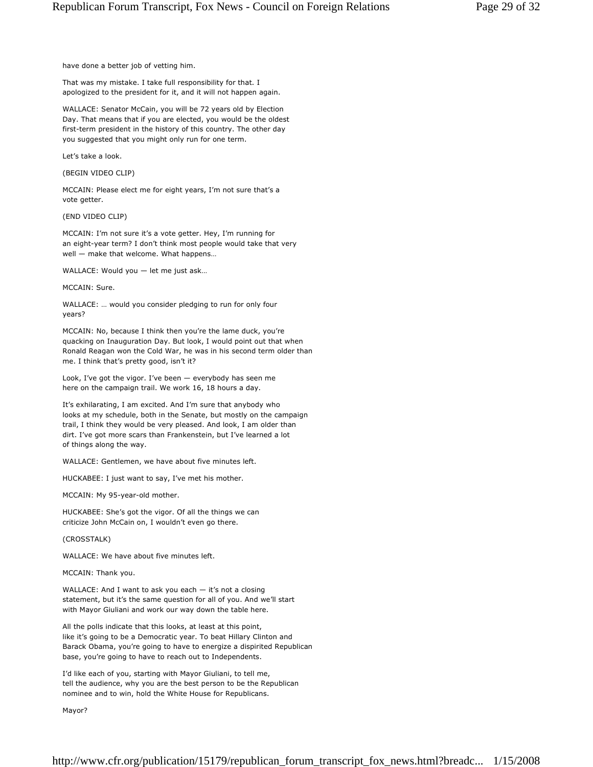have done a better job of vetting him.

That was my mistake. I take full responsibility for that. I apologized to the president for it, and it will not happen again.

WALLACE: Senator McCain, you will be 72 years old by Election Day. That means that if you are elected, you would be the oldest first-term president in the history of this country. The other day you suggested that you might only run for one term.

Let's take a look.

(BEGIN VIDEO CLIP)

MCCAIN: Please elect me for eight years, I'm not sure that's a vote getter.

(END VIDEO CLIP)

MCCAIN: I'm not sure it's a vote getter. Hey, I'm running for an eight-year term? I don't think most people would take that very well — make that welcome. What happens…

WALLACE: Would you — let me just ask…

MCCAIN: Sure.

WALLACE: … would you consider pledging to run for only four years?

MCCAIN: No, because I think then you're the lame duck, you're quacking on Inauguration Day. But look, I would point out that when Ronald Reagan won the Cold War, he was in his second term older than me. I think that's pretty good, isn't it?

Look, I've got the vigor. I've been — everybody has seen me here on the campaign trail. We work 16, 18 hours a day.

It's exhilarating, I am excited. And I'm sure that anybody who looks at my schedule, both in the Senate, but mostly on the campaign trail, I think they would be very pleased. And look, I am older than dirt. I've got more scars than Frankenstein, but I've learned a lot of things along the way.

WALLACE: Gentlemen, we have about five minutes left.

HUCKABEE: I just want to say, I've met his mother.

MCCAIN: My 95-year-old mother.

HUCKABEE: She's got the vigor. Of all the things we can criticize John McCain on, I wouldn't even go there.

(CROSSTALK)

WALLACE: We have about five minutes left.

MCCAIN: Thank you.

WALLACE: And I want to ask you each - it's not a closing statement, but it's the same question for all of you. And we'll start with Mayor Giuliani and work our way down the table here.

All the polls indicate that this looks, at least at this point, like it's going to be a Democratic year. To beat Hillary Clinton and Barack Obama, you're going to have to energize a dispirited Republican base, you're going to have to reach out to Independents.

I'd like each of you, starting with Mayor Giuliani, to tell me, tell the audience, why you are the best person to be the Republican nominee and to win, hold the White House for Republicans.

Mayor?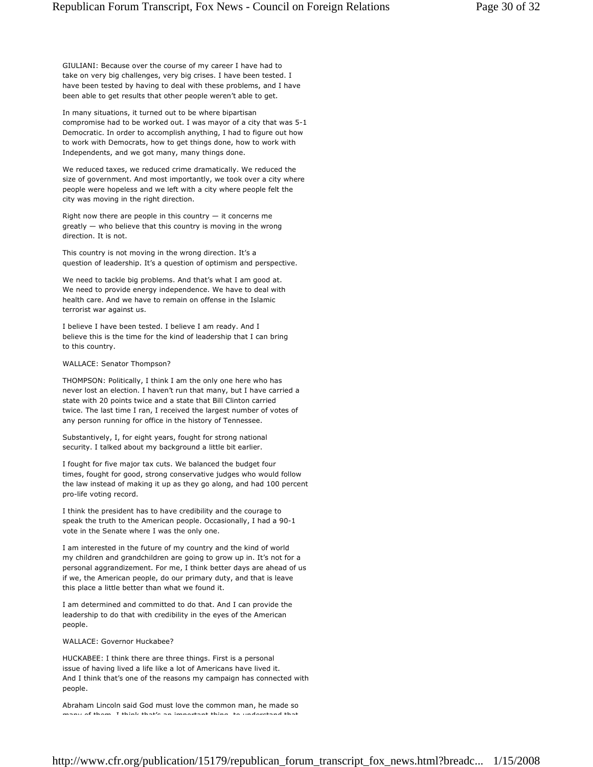GIULIANI: Because over the course of my career I have had to take on very big challenges, very big crises. I have been tested. I have been tested by having to deal with these problems, and I have been able to get results that other people weren't able to get.

In many situations, it turned out to be where bipartisan compromise had to be worked out. I was mayor of a city that was 5-1 Democratic. In order to accomplish anything, I had to figure out how to work with Democrats, how to get things done, how to work with Independents, and we got many, many things done.

We reduced taxes, we reduced crime dramatically. We reduced the size of government. And most importantly, we took over a city where people were hopeless and we left with a city where people felt the city was moving in the right direction.

Right now there are people in this country  $-$  it concerns me greatly — who believe that this country is moving in the wrong direction. It is not.

This country is not moving in the wrong direction. It's a question of leadership. It's a question of optimism and perspective.

We need to tackle big problems. And that's what I am good at. We need to provide energy independence. We have to deal with health care. And we have to remain on offense in the Islamic terrorist war against us.

I believe I have been tested. I believe I am ready. And I believe this is the time for the kind of leadership that I can bring to this country.

## WALLACE: Senator Thompson?

THOMPSON: Politically, I think I am the only one here who has never lost an election. I haven't run that many, but I have carried a state with 20 points twice and a state that Bill Clinton carried twice. The last time I ran, I received the largest number of votes of any person running for office in the history of Tennessee.

Substantively, I, for eight years, fought for strong national security. I talked about my background a little bit earlier.

I fought for five major tax cuts. We balanced the budget four times, fought for good, strong conservative judges who would follow the law instead of making it up as they go along, and had 100 percent pro-life voting record.

I think the president has to have credibility and the courage to speak the truth to the American people. Occasionally, I had a 90-1 vote in the Senate where I was the only one.

I am interested in the future of my country and the kind of world my children and grandchildren are going to grow up in. It's not for a personal aggrandizement. For me, I think better days are ahead of us if we, the American people, do our primary duty, and that is leave this place a little better than what we found it.

I am determined and committed to do that. And I can provide the leadership to do that with credibility in the eyes of the American people.

WALLACE: Governor Huckabee?

HUCKABEE: I think there are three things. First is a personal issue of having lived a life like a lot of Americans have lived it. And I think that's one of the reasons my campaign has connected with people.

Abraham Lincoln said God must love the common man, he made so many of them. I think that's an important thing, to understand that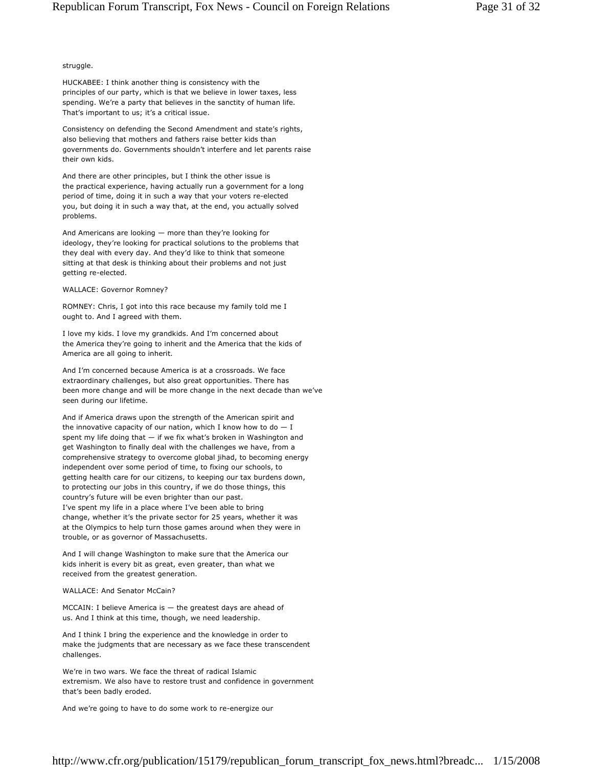## struggle.

HUCKABEE: I think another thing is consistency with the principles of our party, which is that we believe in lower taxes, less spending. We're a party that believes in the sanctity of human life. That's important to us; it's a critical issue.

Consistency on defending the Second Amendment and state's rights, also believing that mothers and fathers raise better kids than governments do. Governments shouldn't interfere and let parents raise their own kids.

And there are other principles, but I think the other issue is the practical experience, having actually run a government for a long period of time, doing it in such a way that your voters re-elected you, but doing it in such a way that, at the end, you actually solved problems.

And Americans are looking — more than they're looking for ideology, they're looking for practical solutions to the problems that they deal with every day. And they'd like to think that someone sitting at that desk is thinking about their problems and not just getting re-elected.

WALLACE: Governor Romney?

ROMNEY: Chris, I got into this race because my family told me I ought to. And I agreed with them.

I love my kids. I love my grandkids. And I'm concerned about the America they're going to inherit and the America that the kids of America are all going to inherit.

And I'm concerned because America is at a crossroads. We face extraordinary challenges, but also great opportunities. There has been more change and will be more change in the next decade than we've seen during our lifetime.

And if America draws upon the strength of the American spirit and the innovative capacity of our nation, which I know how to do  $-$  I spent my life doing that — if we fix what's broken in Washington and get Washington to finally deal with the challenges we have, from a comprehensive strategy to overcome global jihad, to becoming energy independent over some period of time, to fixing our schools, to getting health care for our citizens, to keeping our tax burdens down, to protecting our jobs in this country, if we do those things, this country's future will be even brighter than our past. I've spent my life in a place where I've been able to bring change, whether it's the private sector for 25 years, whether it was at the Olympics to help turn those games around when they were in trouble, or as governor of Massachusetts.

And I will change Washington to make sure that the America our kids inherit is every bit as great, even greater, than what we received from the greatest generation.

WALLACE: And Senator McCain?

MCCAIN: I believe America is — the greatest days are ahead of us. And I think at this time, though, we need leadership.

And I think I bring the experience and the knowledge in order to make the judgments that are necessary as we face these transcendent challenges.

We're in two wars. We face the threat of radical Islamic extremism. We also have to restore trust and confidence in government that's been badly eroded.

And we're going to have to do some work to re-energize our